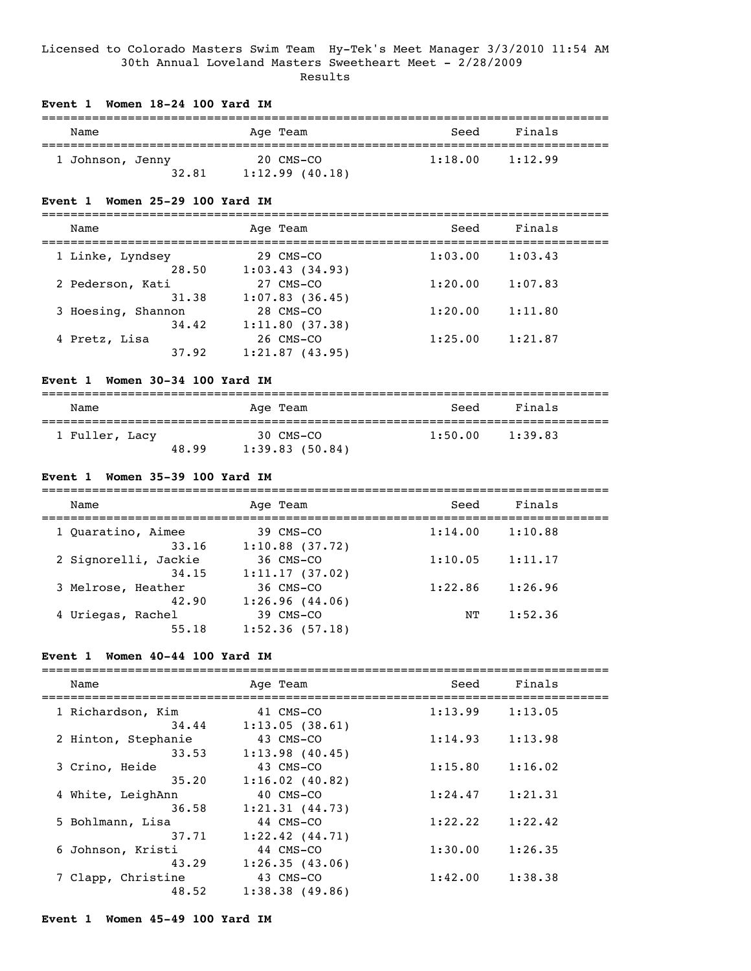## Licensed to Colorado Masters Swim Team Hy-Tek's Meet Manager 3/3/2010 11:54 AM 30th Annual Loveland Masters Sweetheart Meet - 2/28/2009 Results

# **Event 1 Women 18-24 100 Yard IM** =============================================================================== Name **Age Team** Age Team Seed Finals =============================================================================== 1 Johnson, Jenny 20 CMS-CO 1:18.00 1:12.99  $32.81$  1:12.99 (40.18)

#### **Event 1 Women 25-29 100 Yard IM**

===============================================================================

| Name |                    | Age Team       | Seed    | Finals  |  |
|------|--------------------|----------------|---------|---------|--|
|      | 1 Linke, Lyndsey   | 29 CMS-CO      | 1:03.00 | 1:03.43 |  |
|      | 28.50              | 1:03.43(34.93) |         |         |  |
|      | 2 Pederson, Kati   | 27 CMS-CO      | 1:20.00 | 1:07.83 |  |
|      | 31.38              | 1:07.83(36.45) |         |         |  |
|      | 3 Hoesing, Shannon | 28 CMS-CO      | 1:20.00 | 1:11.80 |  |
|      | 34.42              | 1:11.80(37.38) |         |         |  |
|      | 4 Pretz, Lisa      | 26 CMS-CO      | 1:25.00 | 1:21.87 |  |
|      | 37.92              | 1:21.87(43.95) |         |         |  |
|      |                    |                |         |         |  |

## **Event 1 Women 30-34 100 Yard IM**

| Name           |       | Age Team                    | Seed    | Finals  |
|----------------|-------|-----------------------------|---------|---------|
| 1 Fuller, Lacy | 48.99 | 30 CMS-CO<br>1:39.83(50.84) | 1:50.00 | 1:39.83 |

# **Event 1 Women 35-39 100 Yard IM**

| Name                          | Age Team                       | Seed    | Finals  |  |
|-------------------------------|--------------------------------|---------|---------|--|
| 1 Ouaratino, Aimee<br>33.16   | 39 CMS-CO<br>$1:10.88$ (37.72) | 1:14.00 | 1:10.88 |  |
| 2 Signorelli, Jackie<br>34.15 | 36 CMS-CO<br>1:11.17(37.02)    | 1:10.05 | 1:11.17 |  |
| 3 Melrose, Heather<br>42.90   | 36 CMS-CO<br>1:26.96(44.06)    | 1:22.86 | 1:26.96 |  |
| 4 Uriegas, Rachel<br>55.18    | 39 CMS-CO<br>1:52.36(57.18)    | NΤ      | 1:52.36 |  |

# **Event 1 Women 40-44 100 Yard IM**

| Name                | Age Team            | Seed    | Finals  |  |
|---------------------|---------------------|---------|---------|--|
| 1 Richardson, Kim   | 41 CMS-CO           | 1:13.99 | 1:13.05 |  |
| 34.44               | 1:13.05(38.61)      |         |         |  |
| 2 Hinton, Stephanie | 43 CMS-CO           | 1:14.93 | 1:13.98 |  |
| 33.53               | 1:13.98(40.45)      |         |         |  |
| 3 Crino, Heide      | 43 CMS-CO           | 1:15.80 | 1:16.02 |  |
| 35.20               | 1:16.02(40.82)      |         |         |  |
| 4 White, LeighAnn   | 40 CMS-CO           | 1:24.47 | 1:21.31 |  |
| 36.58               | 1:21.31(44.73)      |         |         |  |
| 5 Bohlmann, Lisa    | 44 CMS-CO           | 1:22.22 | 1:22.42 |  |
| 37.71               | $1:22.42$ $(44.71)$ |         |         |  |
| 6 Johnson, Kristi   | 44 CMS-CO           | 1:30.00 | 1:26.35 |  |
| 43.29               | 1:26.35(43.06)      |         |         |  |
| 7 Clapp, Christine  | 43 CMS-CO           | 1:42.00 | 1:38.38 |  |
| 48.52               | 1:38.38(49.86)      |         |         |  |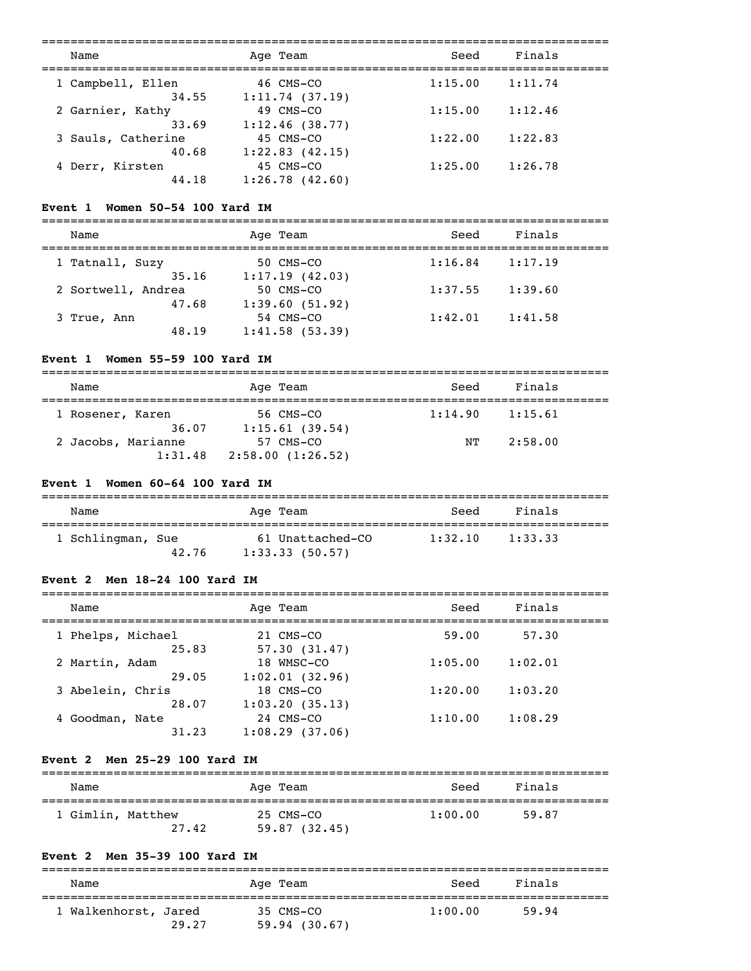| Name                        | Age Team                    | Seed    | Finals  |  |
|-----------------------------|-----------------------------|---------|---------|--|
| 1 Campbell, Ellen<br>34.55  | 46 CMS-CO<br>1:11.74(37.19) | 1:15.00 | 1:11.74 |  |
| 2 Garnier, Kathy<br>33.69   | 49 CMS-CO<br>1:12.46(38.77) | 1:15.00 | 1:12.46 |  |
| 3 Sauls, Catherine<br>40.68 | 45 CMS-CO<br>1:22.83(42.15) | 1:22.00 | 1:22.83 |  |
| 4 Derr, Kirsten<br>44.18    | 45 CMS-CO<br>1:26.78(42.60) | 1:25.00 | 1:26.78 |  |

#### **Event 1 Women 50-54 100 Yard IM**

===============================================================================

| Name               | Age Team       | Seed    | Finals  |  |
|--------------------|----------------|---------|---------|--|
| 1 Tatnall, Suzy    | 50 CMS-CO      | 1:16.84 | 1:17.19 |  |
| 35.16              | 1:17.19(42.03) |         |         |  |
| 2 Sortwell, Andrea | 50 CMS-CO      | 1:37.55 | 1:39.60 |  |
| 47.68              | 1:39.60(51.92) |         |         |  |
| 3 True, Ann        | 54 CMS-CO      | 1:42.01 | 1:41.58 |  |
| 48.19              | 1:41.58(53.39) |         |         |  |

# **Event 1 Women 55-59 100 Yard IM**

| Name               | Age Team         | Seed    | Finals  |
|--------------------|------------------|---------|---------|
| 1 Rosener, Karen   | 56 CMS-CO        | 1:14.90 | 1:15.61 |
| 36.07              | 1:15.61(39.54)   |         |         |
| 2 Jacobs, Marianne | 57 CMS-CO        | NТ      | 2:58.00 |
| 1:31.48            | 2:58.00(1:26.52) |         |         |

# **Event 1 Women 60-64 100 Yard IM**

| Name              | Age Team         | Seed    | Finals  |  |
|-------------------|------------------|---------|---------|--|
| 1 Schlingman, Sue | 61 Unattached-CO | 1:32.10 | 1:33.33 |  |
| 42.76             | 1:33.33(50.57)   |         |         |  |

#### **Event 2 Men 18-24 100 Yard IM**

| Name                              | Age Team                                      | Seed    | Finals  |  |
|-----------------------------------|-----------------------------------------------|---------|---------|--|
| 1 Phelps, Michael<br>25.83        | 21 CMS-CO<br>57.30(31.47)                     | 59.00   | 57.30   |  |
| 2 Martin, Adam<br>29.05           | 18 WMSC-CO                                    | 1:05.00 | 1:02.01 |  |
| 3 Abelein, Chris                  | 1:02.01(32.96)<br>18 CMS-CO                   | 1:20.00 | 1:03.20 |  |
| 28.07<br>4 Goodman, Nate<br>31.23 | 1:03.20(35.13)<br>24 CMS-CO<br>1:08.29(37.06) | 1:10.00 | 1:08.29 |  |
|                                   |                                               |         |         |  |

# **Event 2 Men 25-29 100 Yard IM**

# =============================================================================== Name **Age Team** Age Team Seed Finals =============================================================================== 1 Gimlin, Matthew 25 CMS-CO 1:00.00 59.87 27.42 59.87 (32.45)

# **Event 2 Men 35-39 100 Yard IM**

| Name                 |       | Age Team                  | Seed    | Finals |  |
|----------------------|-------|---------------------------|---------|--------|--|
| 1 Walkenhorst, Jared | 29.27 | 35 CMS-CO<br>59.94(30.67) | 1:00.00 | 59.94  |  |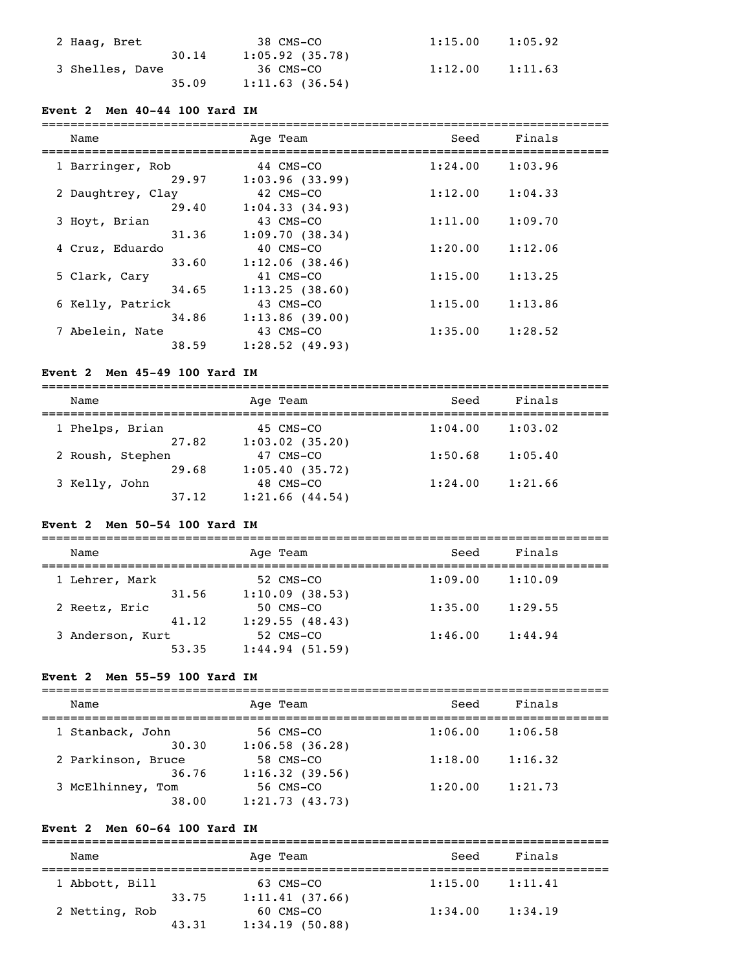| 2 Haaq, Bret    | 38 CMS-CO         | 1:15.00 | 1:05.92 |
|-----------------|-------------------|---------|---------|
| 30.14           | $1:05.92$ (35.78) |         |         |
| 3 Shelles, Dave | 36 CMS-CO         | 1:12.00 | 1:11.63 |
| 35.09           | 1:11.63(36.54)    |         |         |

## **Event 2 Men 40-44 100 Yard IM**

# ===============================================================================

| Name              | Age Team       | Seed    | Finals  |  |
|-------------------|----------------|---------|---------|--|
| 1 Barringer, Rob  | 44 CMS-CO      | 1:24.00 | 1:03.96 |  |
| 29.97             | 1:03.96(33.99) |         |         |  |
| 2 Daughtrey, Clay | 42 CMS-CO      | 1:12.00 | 1:04.33 |  |
| 29.40             | 1:04.33(34.93) |         |         |  |
| 3 Hoyt, Brian     | 43 CMS-CO      | 1:11.00 | 1:09.70 |  |
| 31.36             | 1:09.70(38.34) |         |         |  |
| 4 Cruz, Eduardo   | 40 CMS-CO      | 1:20.00 | 1:12.06 |  |
| 33.60             | 1:12.06(38.46) |         |         |  |
| 5 Clark, Cary     | 41 CMS-CO      | 1:15.00 | 1:13.25 |  |
| 34.65             | 1:13.25(38.60) |         |         |  |
| 6 Kelly, Patrick  | 43 CMS-CO      | 1:15.00 | 1:13.86 |  |
| 34.86             | 1:13.86(39.00) |         |         |  |
| 7 Abelein, Nate   | 43 CMS-CO      | 1:35.00 | 1:28.52 |  |
| 38.59             | 1:28.52(49.93) |         |         |  |

# **Event 2 Men 45-49 100 Yard IM**

=============================================================================== Name and Age Team and Seed Finals =============================================================================== 1 Phelps, Brian 45 CMS-CO 1:04.00 1:03.02 27.82 1:03.02 (35.20) 2 Roush, Stephen 47 CMS-CO 1:50.68 1:05.40 29.68 1:05.40 (35.72) 3 Kelly, John 48 CMS-CO 1:24.00 1:21.66 37.12 1:21.66 (44.54)

# **Event 2 Men 50-54 100 Yard IM**

| Name             | Age Team       | Seed    | Finals  |  |
|------------------|----------------|---------|---------|--|
| 1 Lehrer, Mark   | 52 CMS-CO      | 1:09.00 | 1:10.09 |  |
| 31.56            | 1:10.09(38.53) |         |         |  |
| 2 Reetz, Eric    | 50 CMS-CO      | 1:35.00 | 1:29.55 |  |
| 41.12            | 1:29.55(48.43) |         |         |  |
| 3 Anderson, Kurt | 52 CMS-CO      | 1:46.00 | 1:44.94 |  |
| 53.35            | 1:44.94(51.59) |         |         |  |

#### **Event 2 Men 55-59 100 Yard IM**

| Name               |       | Age Team          | Seed    | Finals  |
|--------------------|-------|-------------------|---------|---------|
| 1 Stanback, John   |       | 56 CMS-CO         | 1:06.00 | 1:06.58 |
|                    | 30.30 | $1:06.58$ (36.28) |         |         |
| 2 Parkinson, Bruce |       | 58 CMS-CO         | 1:18.00 | 1:16.32 |
|                    | 36.76 | 1:16.32(39.56)    |         |         |
| 3 McElhinney, Tom  |       | 56 CMS-CO         | 1:20.00 | 1:21.73 |
|                    | 38.00 | 1:21.73(43.73)    |         |         |

# **Event 2 Men 60-64 100 Yard IM**

| Name           |       | Age Team       | Seed    | Finals  |
|----------------|-------|----------------|---------|---------|
| 1 Abbott, Bill |       | 63 CMS-CO      | 1:15.00 | 1:11.41 |
|                | 33.75 | 1:11.41(37.66) |         |         |
| 2 Netting, Rob |       | 60 CMS-CO      | 1:34.00 | 1:34.19 |
|                | 43.31 | 1:34.19(50.88) |         |         |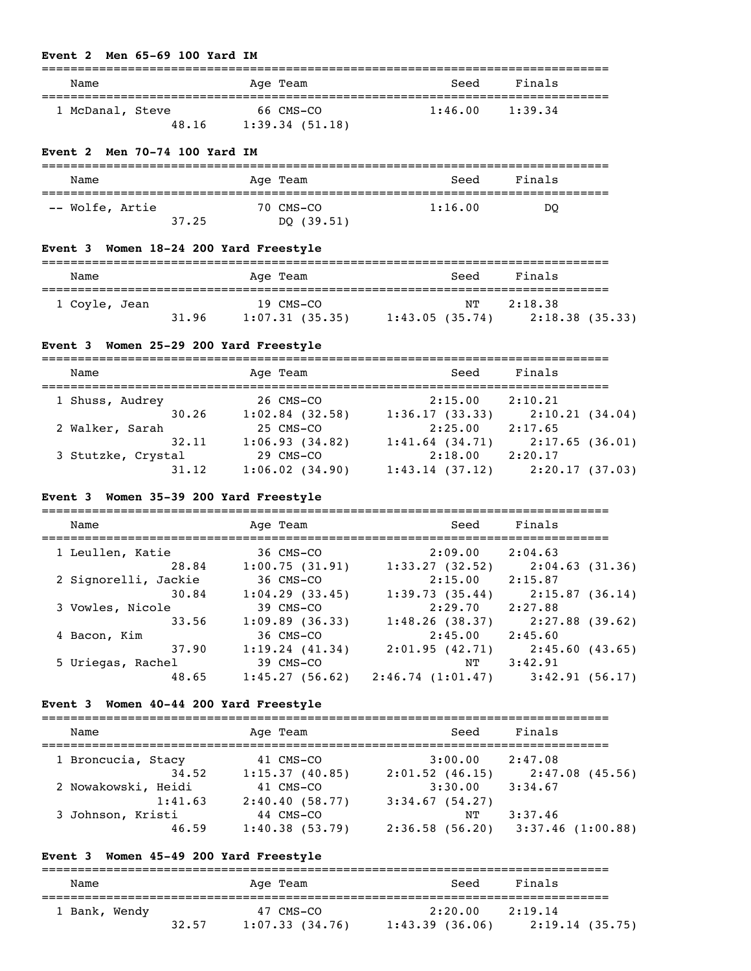#### **Event 2 Men 65-69 100 Yard IM**

| Name                      | Age Team                    | Seed    | Finals  |  |
|---------------------------|-----------------------------|---------|---------|--|
| 1 McDanal, Steve<br>48.16 | 66 CMS-CO<br>1:39.34(51.18) | 1:46.00 | 1:39.34 |  |

#### **Event 2 Men 70-74 100 Yard IM**

| Name            |       | Age Team                | Seed    | Finals |
|-----------------|-------|-------------------------|---------|--------|
| -- Wolfe, Artie | 37.25 | 70 CMS-CO<br>DQ (39.51) | 1:16.00 | DO     |

## **Event 3 Women 18-24 200 Yard Freestyle**

| Name          |       | Age Team       | Seed           | Finals          |
|---------------|-------|----------------|----------------|-----------------|
| 1 Coyle, Jean |       | 19 CMS-CO      | NT             | 2:18.38         |
|               | 31.96 | 1:07.31(35.35) | 1:43.05(35.74) | 2:18.38 (35.33) |

#### **Event 3 Women 25-29 200 Yard Freestyle**

| Name               | Age Team            | Seed              | Finals         |
|--------------------|---------------------|-------------------|----------------|
| 1 Shuss, Audrey    | 26 CMS-CO           | 2:15.00           | 2:10.21        |
| 30.26              | $1:02.84$ (32.58)   | 1:36.17(33.33)    | 2:10.21(34.04) |
| 2 Walker, Sarah    | 25 CMS-CO           | 2:25.00           | 2:17.65        |
| 32.11              | 1:06.93(34.82)      | $1:41.64$ (34.71) | 2:17.65(36.01) |
| 3 Stutzke, Crystal | 29 CMS-CO           | 2:18.00           | 2:20.17        |
| 31.12              | $1:06.02$ $(34.90)$ | 1:43.14(37.12)    | 2:20.17(37.03) |

#### **Event 3 Women 35-39 200 Yard Freestyle**

| Name                 | Age Team          | Seed             | Finals            |
|----------------------|-------------------|------------------|-------------------|
| 1 Leullen, Katie     | 36 CMS-CO         | 2:09.00          | 2:04.63           |
| 28.84                | 1:00.75(31.91)    | 1:33.27(32.52)   | 2:04.63(31.36)    |
| 2 Signorelli, Jackie | 36 CMS-CO         | 2:15.00          | 2:15.87           |
| 30.84                | 1:04.29(33.45)    | 1:39.73(35.44)   | 2:15.87(36.14)    |
| 3 Vowles, Nicole     | 39 CMS-CO         | 2:29.70          | 2:27.88           |
| 33.56                | $1:09.89$ (36.33) | 1:48.26(38.37)   | $2:27.88$ (39.62) |
| 4 Bacon, Kim         | 36 CMS-CO         | 2:45.00          | 2:45.60           |
| 37.90                | 1:19.24(41.34)    | 2:01.95(42.71)   | 2:45.60(43.65)    |
| 5 Uriegas, Rachel    | 39 CMS-CO         | NΤ               | 3:42.91           |
| 48.65                | 1:45.27(56.62)    | 2:46.74(1:01.47) | 3:42.91(56.17)    |

#### **Event 3 Women 40-44 200 Yard Freestyle**

| Name                         | Age Team                    | Seed                 | Finals            |
|------------------------------|-----------------------------|----------------------|-------------------|
| 1 Broncucia, Stacy           | 41 CMS-CO                   | 3:00.00              | 2:47.08           |
| 34.52                        | 1:15.37(40.85)              | $2:01.52$ (46.15)    | 2:47.08(45.56)    |
| 2 Nowakowski, Heidi          | 41 CMS-CO                   | 3:30.00              | 3:34.67           |
| 1:41.63<br>3 Johnson, Kristi | 2:40.40(58.77)<br>44 CMS-CO | 3:34.67(54.27)<br>NΤ | 3:37.46           |
| 46.59                        | 1:40.38(53.79)              | 2:36.58(56.20)       | 3:37.46 (1:00.88) |

# **Event 3 Women 45-49 200 Yard Freestyle**

=============================================================================== Name **Age Team** Age Team Seed Finals =============================================================================== 1 Bank, Wendy 47 CMS-CO 2:20.00 2:19.14 32.57 1:07.33 (34.76) 1:43.39 (36.06) 2:19.14 (35.75)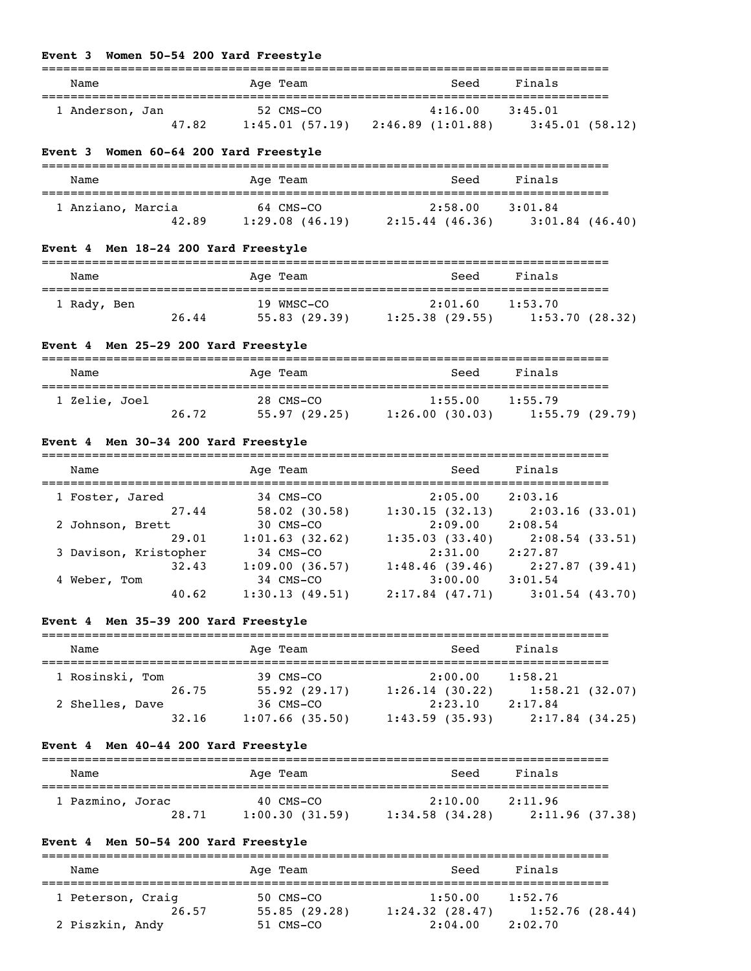# **Event 3 Women 50-54 200 Yard Freestyle**

| women 50-54 ZOO rard rreestyle                                                                                                                                                                          |                    |                                                                                                                |        |  |
|---------------------------------------------------------------------------------------------------------------------------------------------------------------------------------------------------------|--------------------|----------------------------------------------------------------------------------------------------------------|--------|--|
| Name                                                                                                                                                                                                    | Age Team           | Seed                                                                                                           | Finals |  |
| 1 Anderson, Jan                                                                                                                                                                                         |                    | $52 \text{ CMS} - \text{CO}$ $4:16.00$ $3:45.01$<br>47.82 1:45.01 (57.19) 2:46.89 (1:01.88) 3:45.01 (58.12)    |        |  |
| Event 3 Women 60-64 200 Yard Freestyle                                                                                                                                                                  |                    |                                                                                                                |        |  |
| Name                                                                                                                                                                                                    | Age Team           | Seed                                                                                                           | Finals |  |
| 1 Anziano, Marcia 64 CMS-CO 2:58.00 3:01.84                                                                                                                                                             |                    | 42.89 1:29.08 (46.19) 2:15.44 (46.36) 3:01.84 (46.40)                                                          |        |  |
| Event 4 Men 18-24 200 Yard Freestyle                                                                                                                                                                    |                    |                                                                                                                |        |  |
| Name                                                                                                                                                                                                    | Age Team           | Seed                                                                                                           | Finals |  |
| 1 Rady, Ben                                                                                                                                                                                             |                    | 19 WMSC-CO 2:01.60 1:53.70<br>26.44 55.83 (29.39) 1:25.38 (29.55) 1:53.70 (28.32)                              |        |  |
| Event 4 Men 25-29 200 Yard Freestyle                                                                                                                                                                    | ------------------ |                                                                                                                |        |  |
| Name                                                                                                                                                                                                    | Age Team           | in the Seed Seed Seed Seed Seed Sections and Section Section Section Section Section Section Section Section S | Finals |  |
| 1 Zelie, Joel                                                                                                                                                                                           |                    | 28 CMS-CO 1:55.00 1:55.79<br>26.72 55.97 (29.25) 1:26.00 (30.03) 1:55.79 (29.79)                               |        |  |
| Event 4 Men 30-34 200 Yard Freestyle                                                                                                                                                                    |                    |                                                                                                                |        |  |
| Name                                                                                                                                                                                                    | Age Team           | Seed                                                                                                           | Finals |  |
| 1 Foster, Jared 34 CMS-CO 2:05.00 2:03.16<br>27.44 58.02 (30.58) 1:30.15 (32.13) 2:03.16 (33.01)<br>2 Johnson, Brett 30 CMS-CO 2:09.00 2:08.54<br>29.01 1:01.63 (32.62) 1:35.03 (33.40) 2:08.54 (33.51) |                    |                                                                                                                |        |  |
|                                                                                                                                                                                                         |                    |                                                                                                                |        |  |

 3 Davison, Kristopher 34 CMS-CO 2:31.00 2:27.87 32.43 1:09.00 (36.57) 1:48.46 (39.46) 2:27.87 (39.41) 4 Weber, Tom 34 CMS-CO 3:00.00 3:01.54 40.62 1:30.13 (49.51) 2:17.84 (47.71) 3:01.54 (43.70)

# **Event 4 Men 35-39 200 Yard Freestyle**

| Name            | Age Team          | Seed           | Finals         |
|-----------------|-------------------|----------------|----------------|
| 1 Rosinski, Tom | 39 CMS-CO         | 2:00.00        | 1:58.21        |
| 26.75           | 55.92(29.17)      | 1:26.14(30.22) | 1:58.21(32.07) |
| 2 Shelles, Dave | 36 CMS-CO         | 2:23.10        | 2:17.84        |
| 32.16           | $1:07.66$ (35.50) | 1:43.59(35.93) | 2:17.84(34.25) |

#### **Event 4 Men 40-44 200 Yard Freestyle**

| Name             | Age Team       | Seed              | Finals          |
|------------------|----------------|-------------------|-----------------|
|                  |                |                   |                 |
| 1 Pazmino, Jorac | 40 CMS-CO      | 2:10.00           | 2:11.96         |
| 28.71            | 1:00.30(31.59) | $1:34.58$ (34.28) | 2:11.96 (37.38) |

# **Event 4 Men 50-54 200 Yard Freestyle**

=============================================================================== Name **Age Team** Age Team Seed Finals =============================================================================== 1 Peterson, Craig 50 CMS-CO 26.57 55.85 (29.28) 1:24.32 (28.47) 1:52.76 (28.44) 2 Piszkin, Andy 51 CMS-CO 2:04.00 2:02.70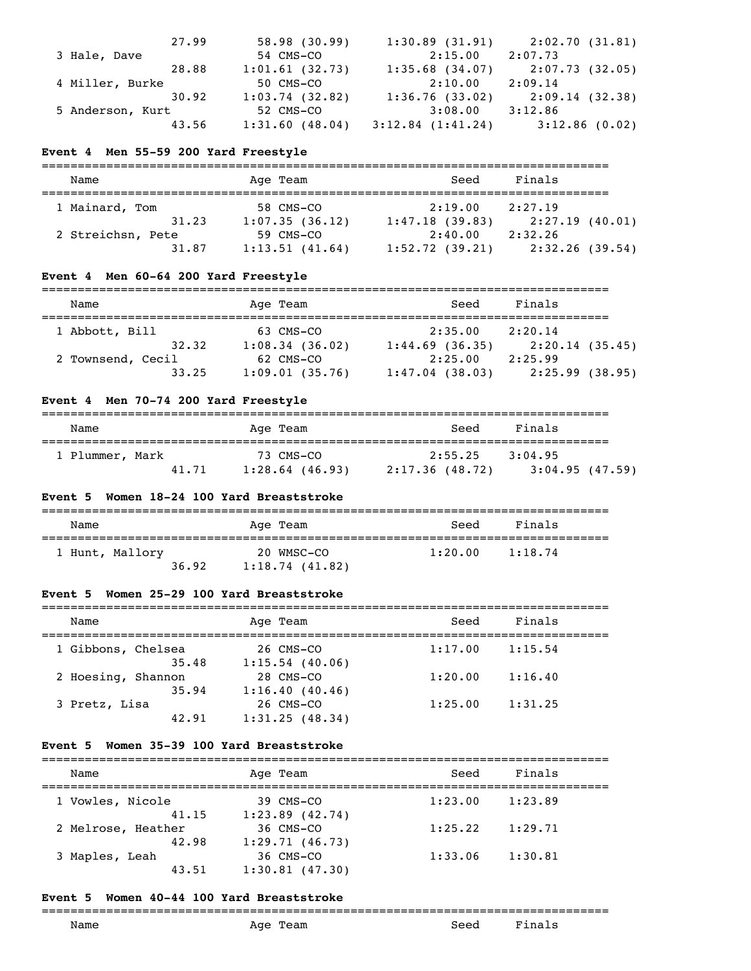|                  | 27.99 | 58.98(30.99)   | 1:30.89(31.91)        | 2:02.70(31.81)  |
|------------------|-------|----------------|-----------------------|-----------------|
| 3 Hale, Dave     |       | 54 CMS-CO      | 2:15.00               | 2:07.73         |
|                  | 28.88 | 1:01.61(32.73) | $1:35.68$ (34.07)     | 2:07.73 (32.05) |
| 4 Miller, Burke  |       | 50 CMS-CO      | 2:10.00               | 2:09.14         |
|                  | 30.92 | 1:03.74(32.82) | 1:36.76(33.02)        | 2:09.14 (32.38) |
| 5 Anderson, Kurt |       | 52 CMS-CO      | 3:08.00               | 3:12.86         |
|                  | 43.56 | 1:31.60(48.04) | $3:12.84$ $(1:41.24)$ | 3:12.86(0.02)   |

## **Event 4 Men 55-59 200 Yard Freestyle**

| Name              |  | Age Team       | Seed           | Finals         |  |
|-------------------|--|----------------|----------------|----------------|--|
| 1 Mainard, Tom    |  | 58 CMS-CO      | 2:19.00        | 2:27.19        |  |
| 31.23             |  | 1:07.35(36.12) | 1:47.18(39.83) | 2:27.19(40.01) |  |
| 2 Streichsn, Pete |  | 59 CMS-CO      | 2:40.00        | 2:32.26        |  |
| 31.87             |  | 1:13.51(41.64) | 1:52.72(39.21) | 2:32.26(39.54) |  |

# **Event 4 Men 60-64 200 Yard Freestyle**

| Name              | Age Team       | Seed              | Finals         |
|-------------------|----------------|-------------------|----------------|
| 1 Abbott, Bill    | 63 CMS-CO      | 2:35.00           | 2:20.14        |
| 32.32             | 1:08.34(36.02) | $1:44.69$ (36.35) | 2:20.14(35.45) |
| 2 Townsend, Cecil | 62 CMS-CO      | 2:25.00           | 2:25.99        |
| 33.25             | 1:09.01(35.76) | $1:47.04$ (38.03) | 2:25.99(38.95) |

# **Event 4 Men 70-74 200 Yard Freestyle**

| Name            | Age Team          | Seed            | Finals         |
|-----------------|-------------------|-----------------|----------------|
| 1 Plummer, Mark | 73 CMS-CO         | 2:55.25         | 3:04.95        |
| 41.71           | $1:28.64$ (46.93) | 2:17.36 (48.72) | 3:04.95(47.59) |

### **Event 5 Women 18-24 100 Yard Breaststroke**

| Name            |       | Age Team                     | Seed    | Finals  |
|-----------------|-------|------------------------------|---------|---------|
| 1 Hunt, Mallory | 36.92 | 20 WMSC-CO<br>1:18.74(41.82) | 1:20.00 | 1:18.74 |

# **Event 5 Women 25-29 100 Yard Breaststroke**

| Name               |       | Age Team                       | Seed    | Finals  |  |
|--------------------|-------|--------------------------------|---------|---------|--|
| 1 Gibbons, Chelsea | 35.48 | 26 CMS-CO<br>$1:15.54$ (40.06) | 1:17.00 | 1:15.54 |  |
| 2 Hoesing, Shannon | 35.94 | $28$ CMS-CO<br>1:16.40(40.46)  | 1:20.00 | 1:16.40 |  |
| 3 Pretz, Lisa      | 42.91 | 26 CMS-CO<br>1:31.25(48.34)    | 1:25.00 | 1:31.25 |  |

#### **Event 5 Women 35-39 100 Yard Breaststroke**

| Name               | Age Team            | Seed    | Finals  |  |
|--------------------|---------------------|---------|---------|--|
| 1 Vowles, Nicole   | 39 CMS-CO           | 1:23.00 | 1:23.89 |  |
| 41.15              | $1:23.89$ $(42.74)$ |         |         |  |
| 2 Melrose, Heather | $36$ CMS-CO         | 1:25.22 | 1:29.71 |  |
| 42.98              | 1:29.71(46.73)      |         |         |  |
| 3 Maples, Leah     | 36 CMS-CO           | 1:33.06 | 1:30.81 |  |
| 43.51              | $1:30.81$ (47.30)   |         |         |  |

# **Event 5 Women 40-44 100 Yard Breaststroke**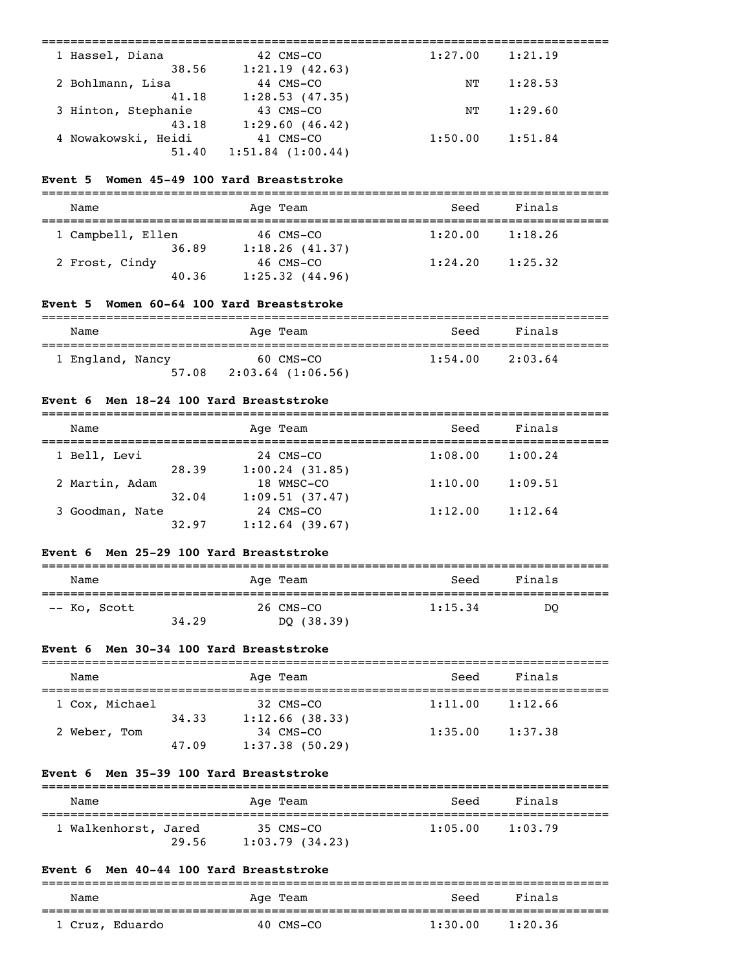| 1 Hassel, Diana     | 42 CMS-CO             | 1:27.00 | 1:21.19 |  |
|---------------------|-----------------------|---------|---------|--|
| 38.56               | 1:21.19(42.63)        |         |         |  |
| 2 Bohlmann, Lisa    | 44 CMS-CO             | NΤ      | 1:28.53 |  |
| 41.18               | 1:28.53(47.35)        |         |         |  |
| 3 Hinton, Stephanie | 43 CMS-CO             | NΤ      | 1:29.60 |  |
| 43.18               | 1:29.60(46.42)        |         |         |  |
| 4 Nowakowski, Heidi | 41 CMS-CO             | 1:50.00 | 1:51.84 |  |
| 51.40               | $1:51.84$ $(1:00.44)$ |         |         |  |
|                     |                       |         |         |  |

#### **Event 5 Women 45-49 100 Yard Breaststroke**

| Name                    | Age Team                      | Seed    | Finals  |
|-------------------------|-------------------------------|---------|---------|
| 1 Campbell, Ellen       | 46 CMS-CO                     | 1:20.00 | 1:18.26 |
| 36.89<br>2 Frost, Cindy | 1:18.26(41.37)<br>$46$ CMS-CO | 1:24.20 | 1:25.32 |
| 40.36                   | $1:25.32$ $(44.96)$           |         |         |

# **Event 5 Women 60-64 100 Yard Breaststroke**

| Name             | Age Team              | Seed    | Finals  |  |
|------------------|-----------------------|---------|---------|--|
| 1 England, Nancy | 60 CMS-CO             | 1:54.00 | 2:03.64 |  |
| 57.08            | $2:03.64$ $(1:06.56)$ |         |         |  |

# **Event 6 Men 18-24 100 Yard Breaststroke**

| Name            |       | Age Team          | Seed    | Finals  |  |
|-----------------|-------|-------------------|---------|---------|--|
| 1 Bell, Levi    |       | 24 CMS-CO         | 1:08.00 | 1:00.24 |  |
|                 | 28.39 | 1:00.24(31.85)    |         |         |  |
| 2 Martin, Adam  |       | 18 WMSC-CO        | 1:10.00 | 1:09.51 |  |
|                 | 32.04 | 1:09.51(37.47)    |         |         |  |
| 3 Goodman, Nate |       | 24 CMS-CO         | 1:12.00 | 1:12.64 |  |
|                 | 32.97 | $1:12.64$ (39.67) |         |         |  |

# **Event 6 Men 25-29 100 Yard Breaststroke**

| Name         |       | Age Team   | Seed    | Finals |
|--------------|-------|------------|---------|--------|
| -- Ko, Scott |       | 26 CMS-CO  | 1:15.34 | DO     |
|              | 34.29 | DQ (38.39) |         |        |

# **Event 6 Men 30-34 100 Yard Breaststroke**

| Name           |       | Age Team                    | Seed    | Finals  |
|----------------|-------|-----------------------------|---------|---------|
| 1 Cox, Michael |       | 32 CMS-CO                   | 1:11.00 | 1:12.66 |
| 2 Weber, Tom   | 34.33 | 1:12.66(38.33)<br>34 CMS-CO | 1:35.00 | 1:37.38 |
|                | 47.09 | $1:37.38$ (50.29)           |         |         |

#### **Event 6 Men 35-39 100 Yard Breaststroke**

| Name                 |       | Age Team                    | Seed    | Finals  |
|----------------------|-------|-----------------------------|---------|---------|
| 1 Walkenhorst, Jared | 29.56 | 35 CMS-CO<br>1:03.79(34.23) | 1:05.00 | 1:03.79 |

# **Event 6 Men 40-44 100 Yard Breaststroke**

| Name            | Age Team  | Seed    | Finals  |  |
|-----------------|-----------|---------|---------|--|
| 1 Cruz, Eduardo | 40 CMS-CO | 1:30.00 | 1:20.36 |  |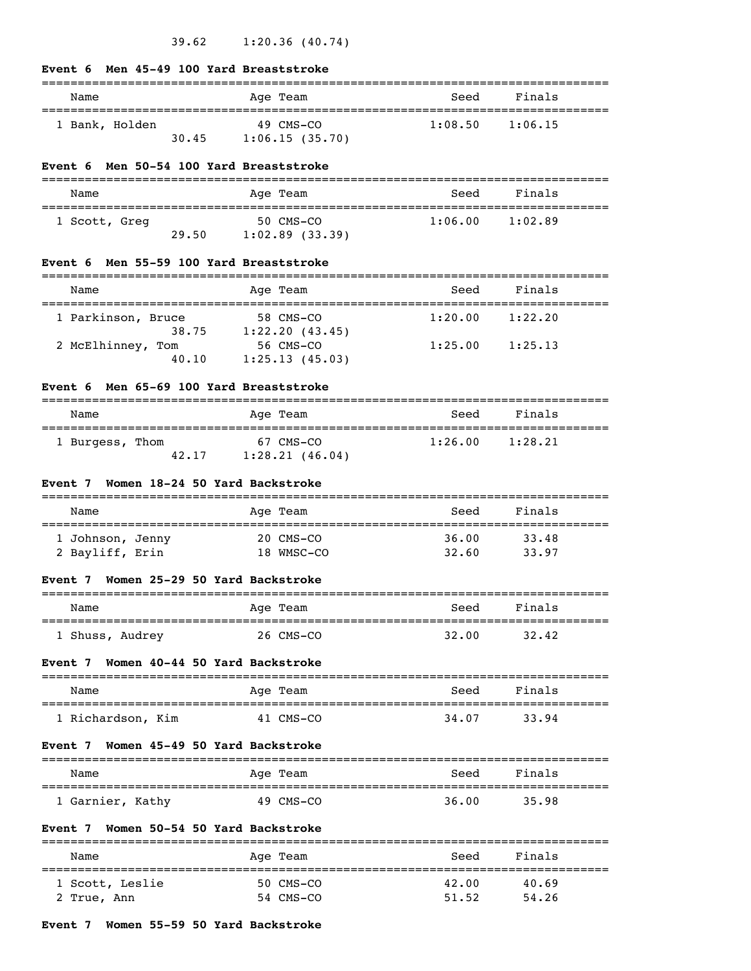#### **Event 6 Men 45-49 100 Yard Breaststroke**

| Name           |       | Age Team                    | Seed    | Finals  |
|----------------|-------|-----------------------------|---------|---------|
| 1 Bank, Holden | 30.45 | 49 CMS-CO<br>1:06.15(35.70) | 1:08.50 | 1:06.15 |

#### **Event 6 Men 50-54 100 Yard Breaststroke**

| Name          |       | Age Team                       | Seed    | Finals  |
|---------------|-------|--------------------------------|---------|---------|
| 1 Scott, Greg | 29.50 | 50 CMS-CO<br>$1:02.89$ (33.39) | 1:06.00 | 1:02.89 |

#### **Event 6 Men 55-59 100 Yard Breaststroke**

| Name               |       | Age Team                    | Seed    | Finals  |
|--------------------|-------|-----------------------------|---------|---------|
| 1 Parkinson, Bruce |       | 58 CMS-CO                   | 1:20.00 | 1:22.20 |
| 2 McElhinney, Tom  | 38.75 | 1:22.20(43.45)<br>56 CMS-CO | 1:25.00 | 1:25.13 |
|                    | 40.10 | 1:25.13(45.03)              |         |         |

#### **Event 6 Men 65-69 100 Yard Breaststroke**

| Name            |       | Age Team                    | Seed    | Finals  |
|-----------------|-------|-----------------------------|---------|---------|
| 1 Burgess, Thom | 42.17 | 67 CMS-CO<br>1:28.21(46.04) | 1:26.00 | 1:28.21 |

# **Event 7 Women 18-24 50 Yard Backstroke**

| Name             |  | Age Team   | Seed  | Finals |
|------------------|--|------------|-------|--------|
| 1 Johnson, Jenny |  | 20 CMS-CO  | 36.00 | 33.48  |
| 2 Bayliff, Erin  |  | 18 WMSC-CO | 32.60 | 33.97  |

#### **Event 7 Women 25-29 50 Yard Backstroke**

| Name            | Age Team  | Seed  | Finals |  |
|-----------------|-----------|-------|--------|--|
| . Shuss, Audrey | 26 CMS-CO | 32.00 | 32.42  |  |

#### **Event 7 Women 40-44 50 Yard Backstroke**

| Name              | Age Team  | Seed  | Finals |
|-------------------|-----------|-------|--------|
|                   |           |       |        |
| 1 Richardson, Kim | 41 CMS-CO | 34.07 | 33.94  |

#### **Event 7 Women 45-49 50 Yard Backstroke**

| Name             | Age Team  | Seed  | Finals |
|------------------|-----------|-------|--------|
| 1 Garnier, Kathy | 49 CMS-CO | 36.00 | 35.98  |

#### **Event 7 Women 50-54 50 Yard Backstroke**

| Name            | Age Team  | Seed  | Finals |  |
|-----------------|-----------|-------|--------|--|
| 1 Scott, Leslie | 50 CMS-CO | 42.00 | 40.69  |  |
| 2 True, Ann     | 54 CMS-CO | 51.52 | 54.26  |  |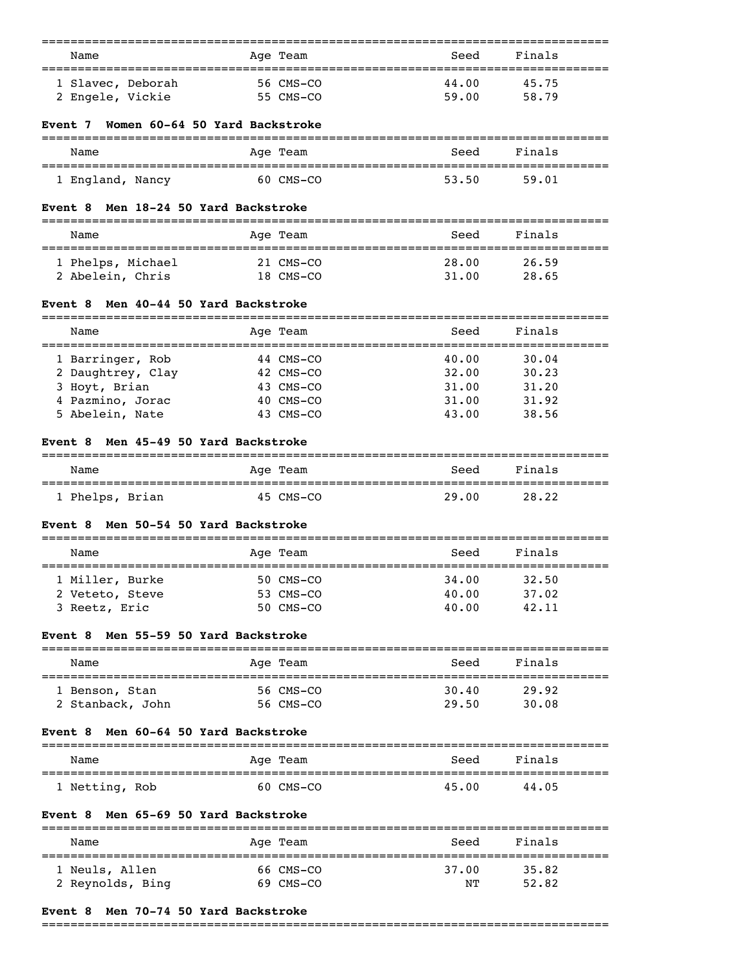| Age Team                             | Seed                                                                                                                                                                                                                                                                                                                                                                                                                                                                                                                                                                | Finals                                                                                                         |
|--------------------------------------|---------------------------------------------------------------------------------------------------------------------------------------------------------------------------------------------------------------------------------------------------------------------------------------------------------------------------------------------------------------------------------------------------------------------------------------------------------------------------------------------------------------------------------------------------------------------|----------------------------------------------------------------------------------------------------------------|
|                                      |                                                                                                                                                                                                                                                                                                                                                                                                                                                                                                                                                                     |                                                                                                                |
| 56 CMS-CO                            | 44.00                                                                                                                                                                                                                                                                                                                                                                                                                                                                                                                                                               | 45.75                                                                                                          |
| 55 CMS-CO                            | 59.00                                                                                                                                                                                                                                                                                                                                                                                                                                                                                                                                                               | 58.79                                                                                                          |
| Women 60-64 50 Yard Backstroke       |                                                                                                                                                                                                                                                                                                                                                                                                                                                                                                                                                                     |                                                                                                                |
|                                      |                                                                                                                                                                                                                                                                                                                                                                                                                                                                                                                                                                     | Finals                                                                                                         |
|                                      |                                                                                                                                                                                                                                                                                                                                                                                                                                                                                                                                                                     |                                                                                                                |
|                                      | 53.50                                                                                                                                                                                                                                                                                                                                                                                                                                                                                                                                                               | 59.01                                                                                                          |
|                                      |                                                                                                                                                                                                                                                                                                                                                                                                                                                                                                                                                                     |                                                                                                                |
|                                      | Seed                                                                                                                                                                                                                                                                                                                                                                                                                                                                                                                                                                | Finals                                                                                                         |
|                                      | 28.00                                                                                                                                                                                                                                                                                                                                                                                                                                                                                                                                                               | 26.59                                                                                                          |
|                                      | 31.00                                                                                                                                                                                                                                                                                                                                                                                                                                                                                                                                                               | 28.65                                                                                                          |
|                                      |                                                                                                                                                                                                                                                                                                                                                                                                                                                                                                                                                                     |                                                                                                                |
|                                      | Seed                                                                                                                                                                                                                                                                                                                                                                                                                                                                                                                                                                | Finals                                                                                                         |
|                                      |                                                                                                                                                                                                                                                                                                                                                                                                                                                                                                                                                                     | -------------------------------                                                                                |
|                                      |                                                                                                                                                                                                                                                                                                                                                                                                                                                                                                                                                                     | 30.04<br>30.23                                                                                                 |
|                                      |                                                                                                                                                                                                                                                                                                                                                                                                                                                                                                                                                                     | 31.20                                                                                                          |
|                                      |                                                                                                                                                                                                                                                                                                                                                                                                                                                                                                                                                                     | 31.92                                                                                                          |
|                                      | 43.00                                                                                                                                                                                                                                                                                                                                                                                                                                                                                                                                                               | 38.56                                                                                                          |
|                                      |                                                                                                                                                                                                                                                                                                                                                                                                                                                                                                                                                                     |                                                                                                                |
|                                      |                                                                                                                                                                                                                                                                                                                                                                                                                                                                                                                                                                     | Finals                                                                                                         |
|                                      |                                                                                                                                                                                                                                                                                                                                                                                                                                                                                                                                                                     |                                                                                                                |
|                                      |                                                                                                                                                                                                                                                                                                                                                                                                                                                                                                                                                                     | 28.22                                                                                                          |
|                                      |                                                                                                                                                                                                                                                                                                                                                                                                                                                                                                                                                                     |                                                                                                                |
|                                      | Seed                                                                                                                                                                                                                                                                                                                                                                                                                                                                                                                                                                | Finals                                                                                                         |
|                                      | 34.00                                                                                                                                                                                                                                                                                                                                                                                                                                                                                                                                                               | 32.50                                                                                                          |
|                                      | 40.00                                                                                                                                                                                                                                                                                                                                                                                                                                                                                                                                                               | 37.02                                                                                                          |
|                                      | 40.00                                                                                                                                                                                                                                                                                                                                                                                                                                                                                                                                                               | 42.11                                                                                                          |
|                                      |                                                                                                                                                                                                                                                                                                                                                                                                                                                                                                                                                                     |                                                                                                                |
|                                      | Seed                                                                                                                                                                                                                                                                                                                                                                                                                                                                                                                                                                | Finals                                                                                                         |
|                                      | 30.40                                                                                                                                                                                                                                                                                                                                                                                                                                                                                                                                                               | 29.92                                                                                                          |
|                                      | 29.50                                                                                                                                                                                                                                                                                                                                                                                                                                                                                                                                                               | 30.08                                                                                                          |
|                                      |                                                                                                                                                                                                                                                                                                                                                                                                                                                                                                                                                                     |                                                                                                                |
|                                      | Seed                                                                                                                                                                                                                                                                                                                                                                                                                                                                                                                                                                | Finals                                                                                                         |
|                                      |                                                                                                                                                                                                                                                                                                                                                                                                                                                                                                                                                                     |                                                                                                                |
| 60 CMS-CO                            | 45.00                                                                                                                                                                                                                                                                                                                                                                                                                                                                                                                                                               | 44.05                                                                                                          |
|                                      |                                                                                                                                                                                                                                                                                                                                                                                                                                                                                                                                                                     |                                                                                                                |
| Event 8 Men 65-69 50 Yard Backstroke |                                                                                                                                                                                                                                                                                                                                                                                                                                                                                                                                                                     |                                                                                                                |
| Aqe Team                             | Seed                                                                                                                                                                                                                                                                                                                                                                                                                                                                                                                                                                | Finals                                                                                                         |
| 66 CMS-CO                            | 37.00                                                                                                                                                                                                                                                                                                                                                                                                                                                                                                                                                               | 35.82                                                                                                          |
| 69 CMS-CO                            | NΤ                                                                                                                                                                                                                                                                                                                                                                                                                                                                                                                                                                  | 52.82                                                                                                          |
|                                      | Age Team<br>60 CMS-CO<br>Men 18-24 50 Yard Backstroke<br>Age Team<br>======================================<br>21 CMS-CO<br>18 CMS-CO<br>Men 40-44 50 Yard Backstroke<br>Age Team<br>----------<br>44 CMS-CO<br>42 CMS-CO<br>43 CMS-CO<br>40 CMS-CO<br>43 CMS-CO<br>Men 45-49 50 Yard Backstroke<br>Age Team<br>=================================<br>45 CMS-CO<br>Men 50-54 50 Yard Backstroke<br>Age Team<br>50 CMS-CO<br>53 CMS-CO<br>50 CMS-CO<br>Men 55-59 50 Yard Backstroke<br>Age Team<br>56 CMS-CO<br>56 CMS-CO<br>Men 60-64 50 Yard Backstroke<br>Age Team | Seed<br>==================================<br>40.00<br>32.00<br>31.00<br>31.00<br>Seed<br>===========<br>29.00 |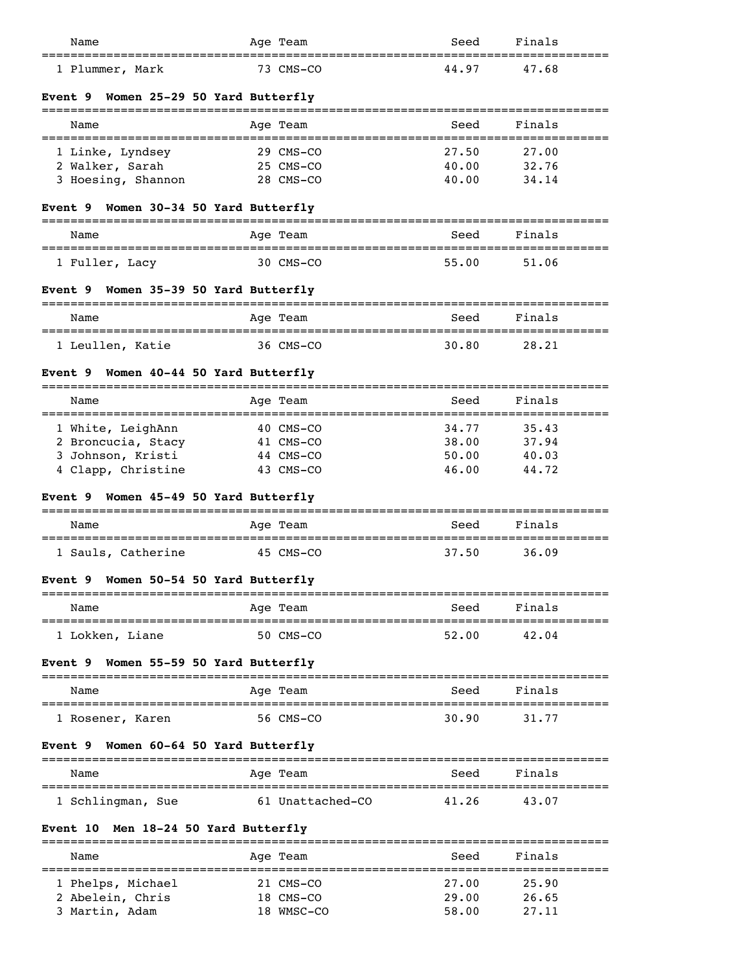| Name                                            | Age Team                               | Seed  | Finals |
|-------------------------------------------------|----------------------------------------|-------|--------|
| 1 Plummer, Mark                                 | 73 CMS-CO                              | 44.97 | 47.68  |
| Women 25-29 50 Yard Butterfly<br><b>Event 9</b> |                                        |       |        |
| Name                                            | Age Team                               | Seed  | Finals |
| 1 Linke, Lyndsey                                | 29 CMS-CO                              | 27.50 | 27.00  |
| 2 Walker, Sarah                                 | 25 CMS-CO                              | 40.00 | 32.76  |
| 3 Hoesing, Shannon                              | 28 CMS-CO                              | 40.00 | 34.14  |
| Event 9 Women 30-34 50 Yard Butterfly           |                                        |       |        |
| Name                                            | Age Team                               | Seed  | Finals |
| 1 Fuller, Lacy                                  | 30 CMS-CO                              | 55.00 | 51.06  |
| Women 35-39 50 Yard Butterfly<br><b>Event 9</b> |                                        |       |        |
| Name<br>=======================                 | Age Team                               | Seed  | Finals |
| 1 Leullen, Katie                                | 36 CMS-CO                              | 30.80 | 28.21  |
| Women 40-44 50 Yard Butterfly<br><b>Event 9</b> |                                        |       |        |
| Name                                            | Age Team                               | Seed  | Finals |
| 1 White, LeighAnn                               | 40 CMS-CO                              | 34.77 | 35.43  |
| 2 Broncucia, Stacy                              | 41 CMS-CO                              | 38.00 | 37.94  |
| 3 Johnson, Kristi                               | 44 CMS-CO                              | 50.00 | 40.03  |
| 4 Clapp, Christine                              | 43 CMS-CO                              | 46.00 | 44.72  |
| Women 45-49 50 Yard Butterfly<br><b>Event</b> 9 |                                        |       |        |
| Name                                            | Age Team                               | Seed  | Finals |
| 1 Sauls, Catherine                              | 45 CMS-CO                              | 37.50 | 36.09  |
| Women 50-54 50 Yard Butterfly<br>Event 9        |                                        |       |        |
| Name                                            | Age Team                               | Seed  | Finals |
| ========================<br>1 Lokken, Liane     | =========================<br>50 CMS-CO | 52.00 | 42.04  |
| Women 55-59 50 Yard Butterfly<br><b>Event 9</b> |                                        |       |        |
| Name                                            | Age Team                               | Seed  | Finals |
| 1 Rosener, Karen                                | 56 CMS-CO                              | 30.90 | 31.77  |
| Women 60-64 50 Yard Butterfly<br><b>Event</b> 9 |                                        |       |        |
| Name                                            | Age Team                               | Seed  | Finals |
| 1 Schlingman, Sue                               | 61 Unattached-CO                       | 41.26 | 43.07  |
| Men 18-24 50 Yard Butterfly<br><b>Event 10</b>  |                                        |       |        |
| Name                                            | =======================<br>Age Team    | Seed  | Finals |
| 1 Phelps, Michael                               | 21 CMS-CO                              | 27.00 | 25.90  |
| 2 Abelein, Chris                                | 18 CMS-CO                              | 29.00 | 26.65  |

3 Martin, Adam 18 WMSC-CO 58.00 27.11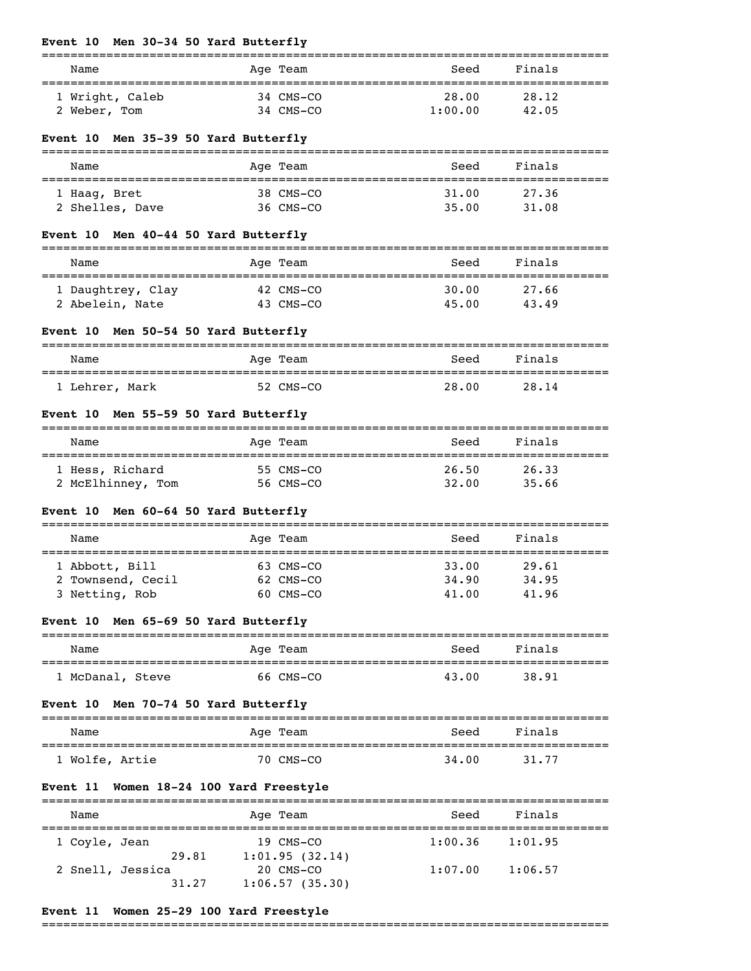#### **Event 10 Men 30-34 50 Yard Butterfly**

| Name                                 | Age Team               | Seed             | Finals               |  |
|--------------------------------------|------------------------|------------------|----------------------|--|
| 1 Wright, Caleb<br>2 Weber, Tom      | 34 CMS-CO<br>34 CMS-CO | 28.00<br>1:00.00 | 28.12<br>42.05       |  |
| Event 10 Men 35-39 50 Yard Butterfly |                        |                  |                      |  |
| Name                                 | Age Team               | Seed             | Finals               |  |
| 1 Haaq, Bret<br>2 Shelles, Dave      | 38 CMS-CO<br>36 CMS-CO | 31.00            | 27.36<br>35.00 31.08 |  |
| Event 10 Men 40-44 50 Yard Butterfly |                        |                  |                      |  |
| Name                                 | Age Team               | Seed             | Finals               |  |
| 1 Daughtrey, Clay<br>2 Abelein, Nate | 42 CMS-CO<br>43 CMS-CO | 30.00<br>45.00   | 27.66<br>43.49       |  |

===============================================================================

# **Event 10 Men 50-54 50 Yard Butterfly**

| Name           | Age Team  | Finals<br>Seed |  |
|----------------|-----------|----------------|--|
| 1 Lehrer, Mark | 52 CMS-CO | 28.00<br>28.14 |  |

# **Event 10 Men 55-59 50 Yard Butterfly**

| Name              | Age Team  | Seed  | Finals |  |
|-------------------|-----------|-------|--------|--|
| 1 Hess, Richard   | 55 CMS-CO | 26.50 | 26.33  |  |
| 2 McElhinney, Tom | 56 CMS-CO | 32.00 | 35.66  |  |

# **Event 10 Men 60-64 50 Yard Butterfly**

| Name              | Age Team  | Seed  | Finals |  |
|-------------------|-----------|-------|--------|--|
| 1 Abbott, Bill    | 63 CMS-CO | 33.00 | 29.61  |  |
| 2 Townsend, Cecil | 62 CMS-CO | 34.90 | 34.95  |  |
| 3 Netting, Rob    | 60 CMS-CO | 41.00 | 41.96  |  |

# **Event 10 Men 65-69 50 Yard Butterfly**

| Name            | Age Team  | Seed  | Finals |  |
|-----------------|-----------|-------|--------|--|
| 'McDanal, Steve | 66 CMS-CO | 43.00 | 38.91  |  |

#### **Event 10 Men 70-74 50 Yard Butterfly**

| Name           | Age Team  | Seed  | Finals |
|----------------|-----------|-------|--------|
| 1 Wolfe, Artie | 70 CMS-CO | 34,00 | 31.77  |

#### **Event 11 Women 18-24 100 Yard Freestyle**

| Name             |       | Age Team                      | Seed    | Finals  |
|------------------|-------|-------------------------------|---------|---------|
| 1 Coyle, Jean    | 29.81 | $19$ CMS-CO<br>1:01.95(32.14) | 1:00.36 | 1:01.95 |
| 2 Snell, Jessica | 31.27 | 20 CMS-CO<br>1:06.57(35.30)   | 1:07.00 | 1:06.57 |

#### **Event 11 Women 25-29 100 Yard Freestyle**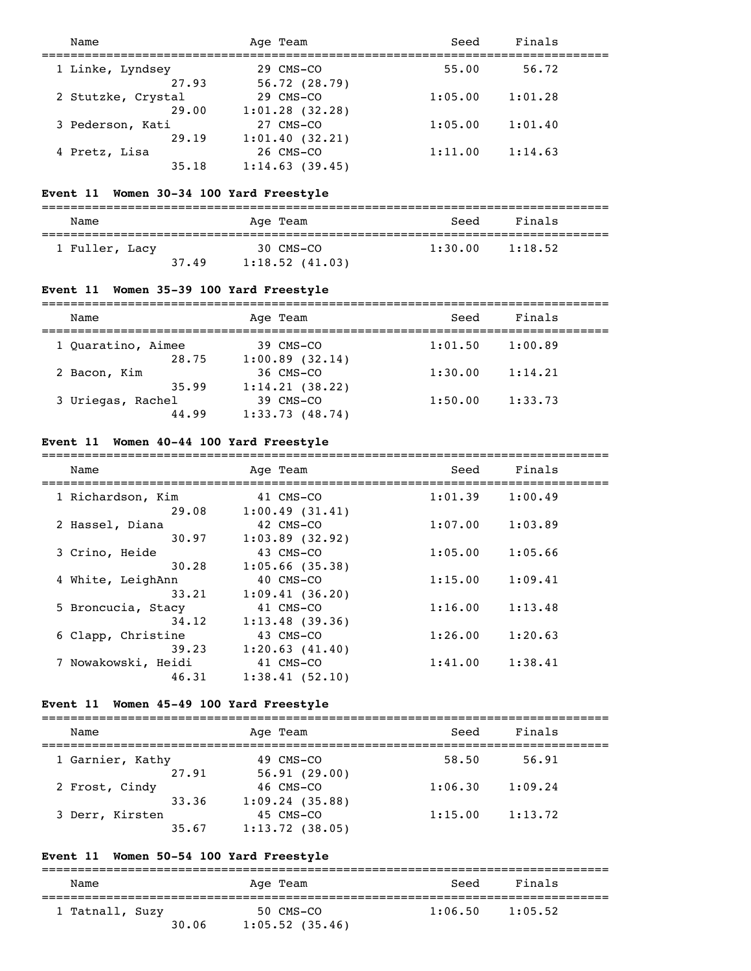| Name               | Age Team          | Seed    | Finals  |  |
|--------------------|-------------------|---------|---------|--|
| 1 Linke, Lyndsey   | 29 CMS-CO         | 55.00   | 56.72   |  |
| 27.93              | 56.72(28.79)      |         |         |  |
| 2 Stutzke, Crystal | 29 CMS-CO         | 1:05.00 | 1:01.28 |  |
| 29.00              | $1:01.28$ (32.28) |         |         |  |
| 3 Pederson, Kati   | 27 CMS-CO         | 1:05.00 | 1:01.40 |  |
| 29.19              | 1:01.40(32.21)    |         |         |  |
| 4 Pretz, Lisa      | 26 CMS-CO         | 1:11.00 | 1:14.63 |  |
| 35.18              | 1:14.63(39.45)    |         |         |  |

#### **Event 11 Women 30-34 100 Yard Freestyle**

=============================================================================== Name and Age Team and Seed Finals =============================================================================== 1 Fuller, Lacy 30 CMS-CO 1:30.00 1:18.52

|       | -------        |  |
|-------|----------------|--|
| 37.49 | 1:18.52(41.03) |  |

# **Event 11 Women 35-39 100 Yard Freestyle**

| Name               | Age Team       | Seed    | Finals  |  |
|--------------------|----------------|---------|---------|--|
| 1 Ouaratino, Aimee | 39 CMS-CO      | 1:01.50 | 1:00.89 |  |
| 28.75              | 1:00.89(32.14) |         |         |  |
| 2 Bacon, Kim       | 36 CMS-CO      | 1:30.00 | 1:14.21 |  |
| 35.99              | 1:14.21(38.22) |         |         |  |
| 3 Uriegas, Rachel  | 39 CMS-CO      | 1:50.00 | 1:33.73 |  |
| 44.99              | 1:33.73(48.74) |         |         |  |

#### **Event 11 Women 40-44 100 Yard Freestyle**

| Name                | Age Team          | Seed    | Finals  |  |
|---------------------|-------------------|---------|---------|--|
| 1 Richardson, Kim   | 41 CMS-CO         | 1:01.39 | 1:00.49 |  |
| 29.08               | 1:00.49(31.41)    |         |         |  |
| 2 Hassel, Diana     | 42 CMS-CO         | 1:07.00 | 1:03.89 |  |
| 30.97               | $1:03.89$ (32.92) |         |         |  |
| 3 Crino, Heide      | 43 CMS-CO         | 1:05.00 | 1:05.66 |  |
| 30.28               | $1:05.66$ (35.38) |         |         |  |
| 4 White, LeighAnn   | 40 CMS-CO         | 1:15.00 | 1:09.41 |  |
| 33.21               | 1:09.41(36.20)    |         |         |  |
| 5 Broncucia, Stacy  | 41 CMS-CO         | 1:16.00 | 1:13.48 |  |
| 34.12               | 1:13.48(39.36)    |         |         |  |
| 6 Clapp, Christine  | 43 CMS-CO         | 1:26.00 | 1:20.63 |  |
| 39.23               | 1:20.63(41.40)    |         |         |  |
| 7 Nowakowski, Heidi | 41 CMS-CO         | 1:41.00 | 1:38.41 |  |
| 46.31               | 1:38.41(52.10)    |         |         |  |

#### **Event 11 Women 45-49 100 Yard Freestyle**

| Name             | Age Team          | Seed    | Finals  |  |
|------------------|-------------------|---------|---------|--|
| 1 Garnier, Kathy | 49 CMS-CO         | 58.50   | 56.91   |  |
| 27.91            | 56.91(29.00)      |         |         |  |
| 2 Frost, Cindy   | 46 CMS-CO         | 1:06.30 | 1:09.24 |  |
| 33.36            | 1:09.24(35.88)    |         |         |  |
| 3 Derr, Kirsten  | 45 CMS-CO         | 1:15.00 | 1:13.72 |  |
| 35.67            | $1:13.72$ (38.05) |         |         |  |

# **Event 11 Women 50-54 100 Yard Freestyle**

=============================================================================== Name Age Team Seed Finals =============================================================================== 1 Tatnall, Suzy 50 CMS-CO 1:06.50 1:05.52  $30.06$   $1:05.52$  (35.46)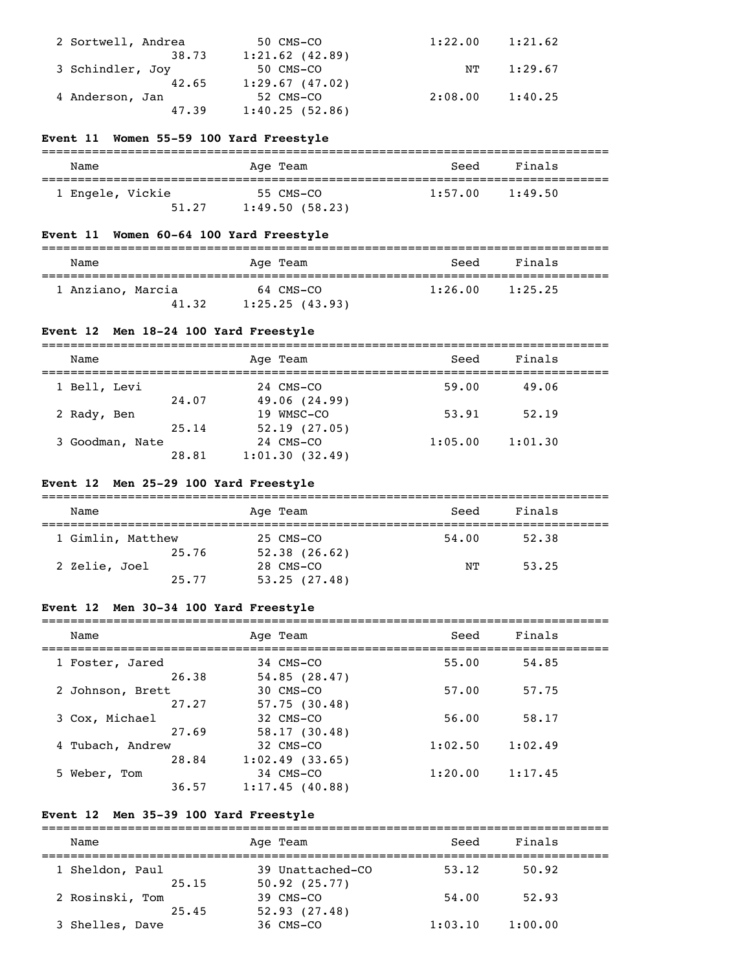| 2 Sortwell, Andrea | 50 CMS-CO         | 1:22.00 | 1:21.62 |
|--------------------|-------------------|---------|---------|
| 38.73              | $1:21.62$ (42.89) |         |         |
| 3 Schindler, Joy   | 50 CMS-CO         | NT      | 1:29.67 |
| 42.65              | 1:29.67(47.02)    |         |         |
| 4 Anderson, Jan    | 52 CMS-CO         | 2:08.00 | 1:40.25 |
| 47.39              | 1:40.25(52.86)    |         |         |

#### **Event 11 Women 55-59 100 Yard Freestyle**

| Name                      | Age Team                    | Seed    | Finals  |  |
|---------------------------|-----------------------------|---------|---------|--|
| 1 Engele, Vickie<br>51.27 | 55 CMS-CO<br>1:49.50(58.23) | 1:57.00 | 1:49.50 |  |

#### **Event 11 Women 60-64 100 Yard Freestyle**

| Name                       | Age Team                    | Seed    | Finals  |  |
|----------------------------|-----------------------------|---------|---------|--|
| 1 Anziano, Marcia<br>41.32 | 64 CMS-CO<br>1:25.25(43.93) | 1:26.00 | 1:25.25 |  |

## **Event 12 Men 18-24 100 Yard Freestyle**

| __________ | ___________                                              |            | _______________ |
|------------|----------------------------------------------------------|------------|-----------------|
| Name<br>.  | an<br>. .<br>$\overline{\phantom{a}}$<br>AU.<br>__<br>__ | ، م م<br>. | ______          |

| 1 Bell, Levi    |       | 24 CMS-CO      | 59.00   | 49.06   |
|-----------------|-------|----------------|---------|---------|
|                 | 24.07 | 49.06 (24.99)  |         |         |
| 2 Rady, Ben     |       | 19 WMSC-CO     | 53.91   | 52.19   |
|                 | 25.14 | 52.19(27.05)   |         |         |
| 3 Goodman, Nate |       | 24 CMS-CO      | 1:05.00 | 1:01.30 |
|                 | 28.81 | 1:01.30(32.49) |         |         |

## **Event 12 Men 25-29 100 Yard Freestyle**

|  | Name              |  | Age Team     | Seed  | Finals |  |  |
|--|-------------------|--|--------------|-------|--------|--|--|
|  | 1 Gimlin, Matthew |  | 25 CMS-CO    | 54.00 | 52.38  |  |  |
|  | 25.76             |  | 52.38(26.62) |       |        |  |  |
|  | 2 Zelie, Joel     |  | 28 CMS-CO    | NТ    | 53.25  |  |  |
|  | 25.77             |  | 53.25(27.48) |       |        |  |  |

#### **Event 12 Men 30-34 100 Yard Freestyle**

| Name             |       | Age Team       | Seed    | Finals  |
|------------------|-------|----------------|---------|---------|
| 1 Foster, Jared  |       | 34 CMS-CO      | 55.00   | 54.85   |
|                  | 26.38 | 54.85(28.47)   |         |         |
| 2 Johnson, Brett |       | 30 CMS-CO      | 57.00   | 57.75   |
|                  | 27.27 | 57.75(30.48)   |         |         |
| 3 Cox, Michael   |       | 32 CMS-CO      | 56.00   | 58.17   |
|                  | 27.69 | 58.17(30.48)   |         |         |
| 4 Tubach, Andrew |       | 32 CMS-CO      | 1:02.50 | 1:02.49 |
|                  | 28.84 | 1:02.49(33.65) |         |         |
| 5 Weber, Tom     |       | 34 CMS-CO      | 1:20.00 | 1:17.45 |
|                  | 36.57 | 1:17.45(40.88) |         |         |

#### **Event 12 Men 35-39 100 Yard Freestyle**

=============================================================================== Name Age Team Seed Finals =============================================================================== 1 Sheldon, Paul 39 Unattached-CO 53.12 50.92  $25.15$   $50.92$   $(25.77)$  2 Rosinski, Tom 39 CMS-CO 54.00 52.93  $25.45$   $52.93$   $(27.48)$ 3 Shelles, Dave 36 CMS-CO 1:03.10 1:00.00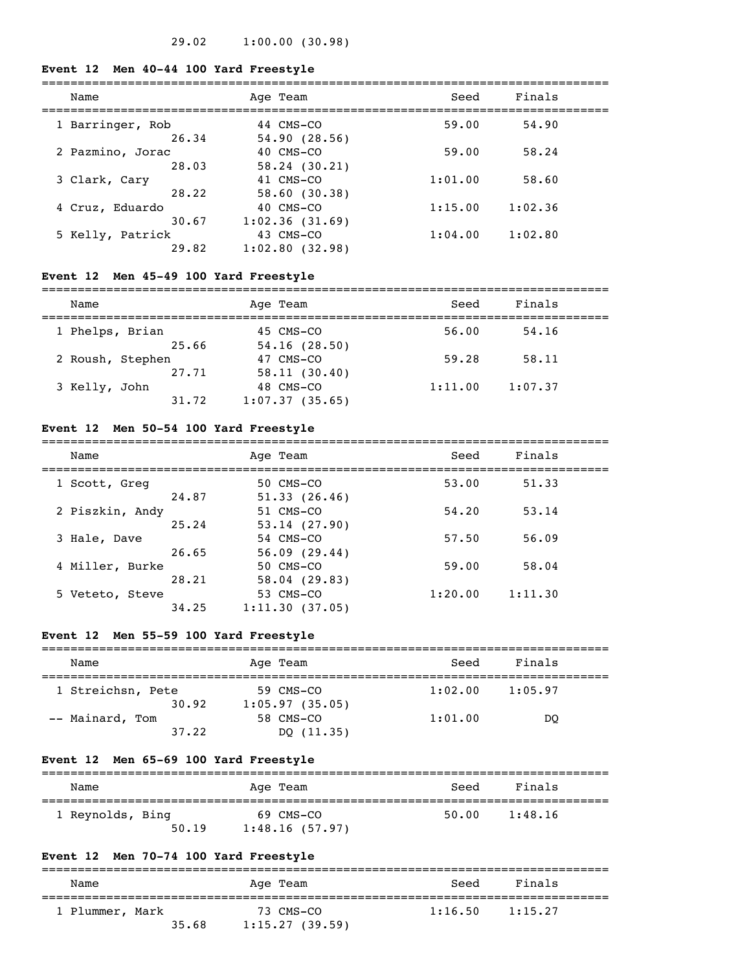#### **Event 12 Men 40-44 100 Yard Freestyle**

| Name             | Age Team          | Seed    | Finals  |  |
|------------------|-------------------|---------|---------|--|
| 1 Barringer, Rob | 44 CMS-CO         | 59.00   | 54.90   |  |
| 26.34            | 54.90(28.56)      |         |         |  |
| 2 Pazmino, Jorac | 40 CMS-CO         | 59.00   | 58.24   |  |
| 28.03            | 58.24(30.21)      |         |         |  |
| 3 Clark, Cary    | 41 CMS-CO         | 1:01.00 | 58.60   |  |
| 28.22            | 58.60(30.38)      |         |         |  |
| 4 Cruz, Eduardo  | 40 CMS-CO         | 1:15.00 | 1:02.36 |  |
| 30.67            | 1:02.36(31.69)    |         |         |  |
| 5 Kelly, Patrick | 43 CMS-CO         | 1:04.00 | 1:02.80 |  |
| 29.82            | $1:02.80$ (32.98) |         |         |  |

# **Event 12 Men 45-49 100 Yard Freestyle**

# ===============================================================================

| Name             |       | Age Team       | Seed    | Finals  |  |
|------------------|-------|----------------|---------|---------|--|
| 1 Phelps, Brian  |       | 45 CMS-CO      | 56.00   | 54.16   |  |
|                  | 25.66 | 54.16(28.50)   |         |         |  |
| 2 Roush, Stephen |       | 47 CMS-CO      | 59.28   | 58.11   |  |
|                  | 27.71 | 58.11(30.40)   |         |         |  |
| 3 Kelly, John    |       | 48 CMS-CO      | 1:11.00 | 1:07.37 |  |
|                  | 31.72 | 1:07.37(35.65) |         |         |  |

#### **Event 12 Men 50-54 100 Yard Freestyle**

| Name            |       | Age Team       | Seed    | Finals  |
|-----------------|-------|----------------|---------|---------|
| 1 Scott, Greg   |       | 50 CMS-CO      | 53.00   | 51.33   |
|                 | 24.87 | 51.33(26.46)   |         |         |
| 2 Piszkin, Andy |       | 51 CMS-CO      | 54.20   | 53.14   |
|                 | 25.24 | 53.14(27.90)   |         |         |
| 3 Hale, Dave    |       | 54 CMS-CO      | 57.50   | 56.09   |
|                 | 26.65 | 56.09(29.44)   |         |         |
| 4 Miller, Burke |       | 50 CMS-CO      | 59.00   | 58.04   |
|                 | 28.21 | 58.04(29.83)   |         |         |
| 5 Veteto, Steve |       | 53 CMS-CO      | 1:20.00 | 1:11.30 |
|                 | 34.25 | 1:11.30(37.05) |         |         |

# **Event 12 Men 55-59 100 Yard Freestyle**

| Name              | Age Team       | Seed    | Finals  |  |
|-------------------|----------------|---------|---------|--|
| 1 Streichsn, Pete | 59 CMS-CO      | 1:02.00 | 1:05.97 |  |
| 30.92             | 1:05.97(35.05) |         |         |  |
| -- Mainard, Tom   | 58 CMS-CO      | 1:01.00 | DO      |  |
| 37.22             | DO (11.35)     |         |         |  |

#### **Event 12 Men 65-69 100 Yard Freestyle**

| Name             | Age Team       | Seed  | Finals  |  |
|------------------|----------------|-------|---------|--|
| 1 Reynolds, Bing | 69 CMS-CO      | 50.00 | 1:48.16 |  |
| 50.19            | 1:48.16(57.97) |       |         |  |

# **Event 12 Men 70-74 100 Yard Freestyle**

| Name            |       | Age Team                    | Seed    | Finals  |
|-----------------|-------|-----------------------------|---------|---------|
| 1 Plummer, Mark | 35.68 | 73 CMS-CO<br>1:15.27(39.59) | 1:16.50 | 1:15.27 |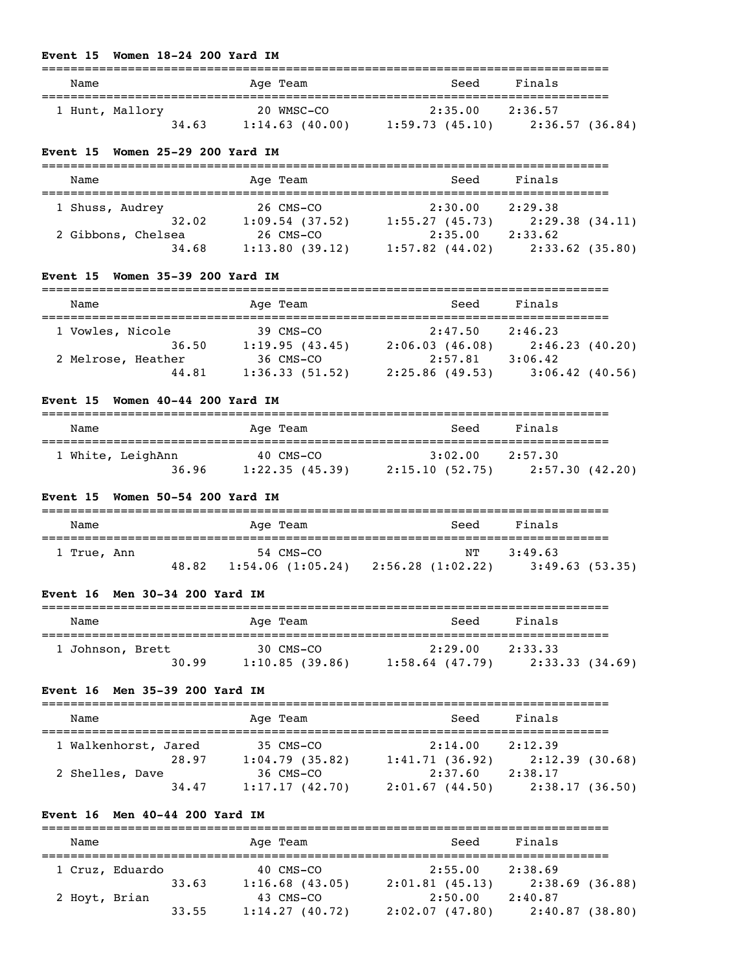#### **Event 15 Women 18-24 200 Yard IM**

| Name            |       | Age Team       | Seed           | Finals          |  |
|-----------------|-------|----------------|----------------|-----------------|--|
|                 |       | 20 WMSC-CO     | 2:35.00        | 2:36.57         |  |
| 1 Hunt, Mallory | 34.63 | 1:14.63(40.00) | 1:59.73(45.10) | 2:36.57 (36.84) |  |

#### **Event 15 Women 25-29 200 Yard IM**

| Name               | Age Team       | Seed              | Finals  |                   |
|--------------------|----------------|-------------------|---------|-------------------|
|                    |                |                   |         |                   |
| 1 Shuss, Audrey    | 26 CMS-CO      | 2:30.00           | 2:29.38 |                   |
| 32.02              | 1:09.54(37.52) | 1:55.27(45.73)    |         | 2:29.38(34.11)    |
| 2 Gibbons, Chelsea | 26 CMS-CO      | 2:35.00           | 2:33.62 |                   |
| 34.68              | 1:13.80(39.12) | $1:57.82$ (44.02) |         | $2:33.62$ (35.80) |

# **Event 15 Women 35-39 200 Yard IM**

| Name               | Age Team       | Seed           | Finals            |
|--------------------|----------------|----------------|-------------------|
| 1 Vowles, Nicole   | 39 CMS-CO      | 2:47.50        | 2:46.23           |
| 36.50              | 1:19.95(43.45) | 2:06.03(46.08) | 2:46.23(40.20)    |
| 2 Melrose, Heather | 36 CMS-CO      | 2:57.81        | 3:06.42           |
| 44.81              | 1:36.33(51.52) | 2:25.86(49.53) | $3:06.42$ (40.56) |

# **Event 15 Women 40-44 200 Yard IM**

| Name              | Age Team       | Seed           | Finals         |
|-------------------|----------------|----------------|----------------|
| 1 White, LeighAnn | 40 CMS-CO      | 3:02.00        | 2:57.30        |
| 36.96             | 1:22.35(45.39) | 2:15.10(52.75) | 2:57.30(42.20) |

# **Event 15 Women 50-54 200 Yard IM**

| Name        | Age Team                     | Seed              | Finals         |
|-------------|------------------------------|-------------------|----------------|
| 1 True, Ann | 54 CMS-CO                    | NT                | 3:49.63        |
|             | 48.82<br>$1:54.06$ (1:05.24) | 2:56.28 (1:02.22) | 3:49.63(53.35) |

# **Event 16 Men 30-34 200 Yard IM**

| Name             | Age Team       | Seed              | Finals         |  |
|------------------|----------------|-------------------|----------------|--|
|                  |                |                   |                |  |
| 1 Johnson, Brett | 30 CMS-CO      | 2:29.00           | 2:33.33        |  |
| 30.99            | 1:10.85(39.86) | $1:58.64$ (47.79) | 2:33.33(34.69) |  |

#### **Event 16 Men 35-39 200 Yard IM**

| Name                 | Age Team       | Seed           | Finals         |
|----------------------|----------------|----------------|----------------|
|                      |                |                |                |
| 1 Walkenhorst, Jared | 35 CMS-CO      | 2:14.00        | 2:12.39        |
| 28.97                | 1:04.79(35.82) | 1:41.71(36.92) | 2:12.39(30.68) |
| 2 Shelles, Dave      | 36 CMS-CO      | 2:37.60        | 2:38.17        |
| 34.47                | 1:17.17(42.70) | 2:01.67(44.50) | 2:38.17(36.50) |

# **Event 16 Men 40-44 200 Yard IM**

| Name          |                 |       | Age Team          | Seed           | Finals         |  |
|---------------|-----------------|-------|-------------------|----------------|----------------|--|
|               | 1 Cruz, Eduardo |       | 40 CMS-CO         | 2:55.00        | 2:38.69        |  |
|               |                 | 33.63 | $1:16.68$ (43.05) | 2:01.81(45.13) | 2:38.69(36.88) |  |
| 2 Hoyt, Brian |                 |       | 43 CMS-CO         | 2:50.00        | 2:40.87        |  |
|               |                 | 33.55 | 1:14.27(40.72)    | 2:02.07(47.80) | 2:40.87(38.80) |  |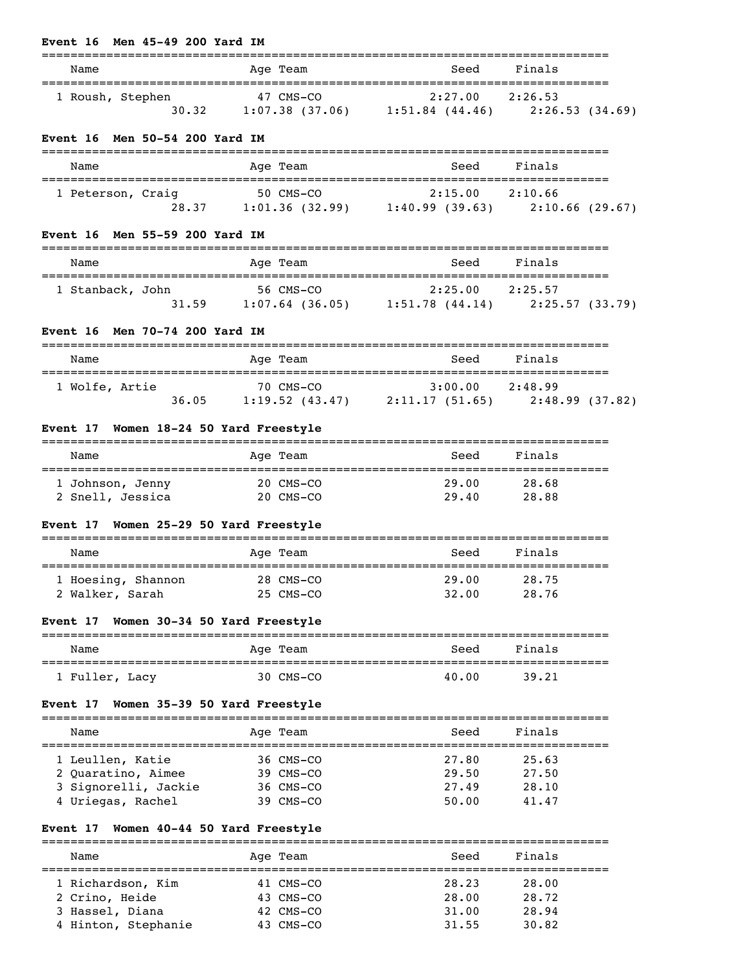|                                                                                  | ======                                                                                                                                             |                                                       | ------------------             |
|----------------------------------------------------------------------------------|----------------------------------------------------------------------------------------------------------------------------------------------------|-------------------------------------------------------|--------------------------------|
| Name                                                                             | Age Team<br>=============                                                                                                                          | Seed<br>======================                        | Finals<br>==================== |
| 1 Roush, Stephen                                                                 | 47 CMS-CO<br>30.32 1:07.38 (37.06) 1:51.84 (44.46) 2:26.53 (34.69)                                                                                 | $2:27.00$ $2:26.53$                                   |                                |
| Event 16 Men 50-54 200 Yard IM                                                   |                                                                                                                                                    |                                                       |                                |
| Name                                                                             | Age Team                                                                                                                                           | Seed                                                  | Finals                         |
| 1 Peterson, Craiq                                                                | 50 CMS-CO<br>g 50 CMS-CO 2:15.00 2:10.66<br>28.37 1:01.36 (32.99) 1:40.99 (39.63) 2:10.66 (29.67)                                                  | 2:15.00 2:10.66                                       |                                |
| Event 16 Men 55-59 200 Yard IM                                                   |                                                                                                                                                    |                                                       |                                |
| Name                                                                             | Age Team                                                                                                                                           | Seed                                                  | Finals                         |
| 1 Stanback, John                                                                 | $\begin{array}{cccccc} 1 & 56 \text{ CMS-CO} & 2:25.00 & 2:25.57 \\ 31.59 & 1:07.64 & (36.05) & 1:51.78 & (44.14) & 2:25.57 & (33.79) \end{array}$ |                                                       |                                |
| Event 16 Men 70-74 200 Yard IM                                                   |                                                                                                                                                    |                                                       |                                |
| Name                                                                             | Age Team                                                                                                                                           | Seed                                                  | Finals                         |
| 1 Wolfe, Artie                                                                   | 70 CMS-CO<br>36.05 1:19.52 (43.47) 2:11.17 (51.65) 2:48.99 (37.82)                                                                                 |                                                       |                                |
| Event 17 Women 18-24 50 Yard Freestyle                                           |                                                                                                                                                    |                                                       |                                |
| Name                                                                             | Age Team                                                                                                                                           | Seed                                                  | Finals                         |
| 1 Johnson, Jenny 20 CMS-CO<br>2 Snell, Jessica 20 CMS-CO                         |                                                                                                                                                    | 29.00<br>29.40                                        | 28.68<br>28.88                 |
| Event 17 Women 25-29 50 Yard Freestyle                                           |                                                                                                                                                    |                                                       |                                |
| Name                                                                             | Age Team                                                                                                                                           | Seed                                                  | Finals                         |
| 1 Hoesing, Shannon<br>2 Walker, Sarah                                            | 28 CMS-CO<br>25 CMS-CO                                                                                                                             | 29.00<br>32.00                                        | 28.75<br>28.76                 |
| Event 17 Women 30-34 50 Yard Freestyle                                           |                                                                                                                                                    |                                                       |                                |
| Name                                                                             | Aqe Team                                                                                                                                           | Seed                                                  | Finals                         |
| l Fuller, Lacy                                                                   | 30 CMS-CO                                                                                                                                          | 40.00                                                 | 39.21                          |
| Women 35-39 50 Yard Freestyle<br>Event 17                                        |                                                                                                                                                    |                                                       |                                |
| Name                                                                             | Aqe Team                                                                                                                                           | Seed                                                  | Finals                         |
| ______________________________________<br>1 Leullen, Katie<br>2 Quaratino, Aimee | 36 CMS-CO<br>39 CMS-CO                                                                                                                             | -----------------------------------<br>27.80<br>29.50 | 25.63<br>27.50                 |
| 3 Signorelli, Jackie<br>4 Uriegas, Rachel                                        | 36 CMS-CO<br>39 CMS-CO                                                                                                                             | 27.49<br>50.00                                        | 28.10<br>41.47                 |
| Women 40-44 50 Yard Freestyle<br>Event 17                                        |                                                                                                                                                    |                                                       |                                |
| Name                                                                             | Age Team                                                                                                                                           | Seed                                                  | Finals                         |
|                                                                                  |                                                                                                                                                    |                                                       |                                |

**Event 16 Men 45-49 200 Yard IM**

| 1 Richardson, Kim   | 41 CMS-CO | 28.23 | 28.00 |
|---------------------|-----------|-------|-------|
| 2 Crino, Heide      | 43 CMS-CO | 28.00 | 28.72 |
| 3 Hassel, Diana     | 42 CMS-CO | 31,00 | 28.94 |
| 4 Hinton, Stephanie | 43 CMS-CO | 31.55 | 30.82 |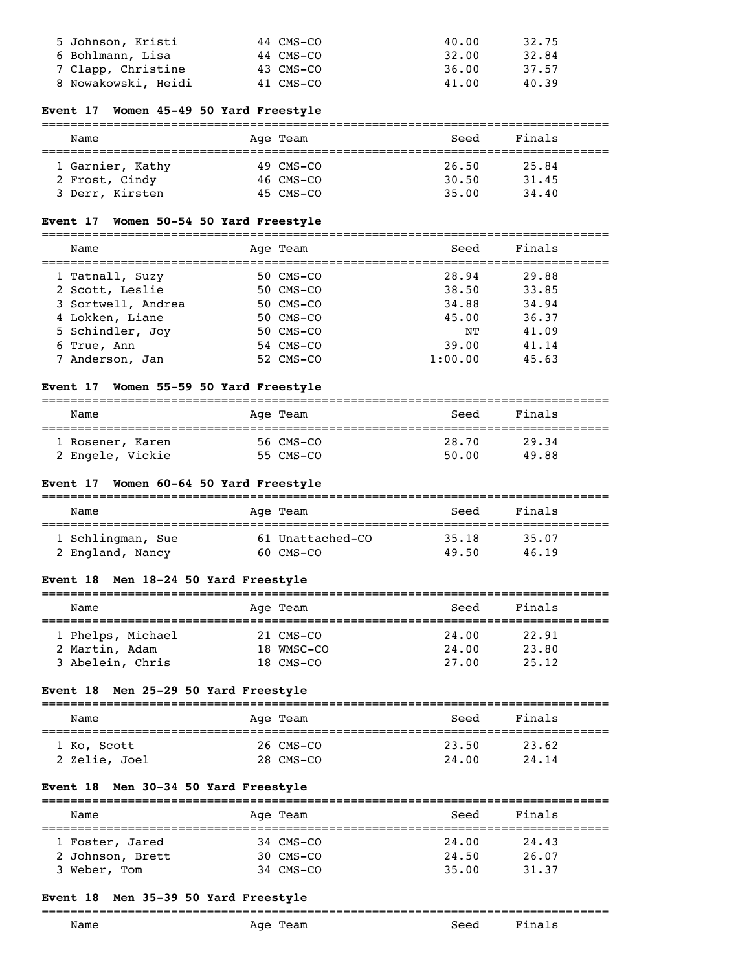| 5 Johnson, Kristi   | 44 CMS-CO | 40.00 | 32.75 |
|---------------------|-----------|-------|-------|
| 6 Bohlmann, Lisa    | 44 CMS-CO | 32.00 | 32.84 |
| 7 Clapp, Christine  | 43 CMS-CO | 36.00 | 37.57 |
| 8 Nowakowski, Heidi | 41 CMS-CO | 41.00 | 40.39 |

#### **Event 17 Women 45-49 50 Yard Freestyle**

# ===============================================================================

| Name             | Age Team  | Seed  | Finals |  |
|------------------|-----------|-------|--------|--|
| 1 Garnier, Kathy | 49 CMS-CO | 26.50 | 25.84  |  |
| 2 Frost, Cindy   | 46 CMS-CO | 30.50 | 31.45  |  |
| 3 Derr, Kirsten  | 45 CMS-CO | 35.00 | 34.40  |  |

# **Event 17 Women 50-54 50 Yard Freestyle**

===============================================================================

| Name               | Age Team  | Seed    | Finals |
|--------------------|-----------|---------|--------|
| 1 Tatnall, Suzy    | 50 CMS-CO | 28.94   | 29.88  |
| 2 Scott, Leslie    | 50 CMS-CO | 38.50   | 33.85  |
| 3 Sortwell, Andrea | 50 CMS-CO | 34.88   | 34.94  |
| 4 Lokken, Liane    | 50 CMS-CO | 45.00   | 36.37  |
| 5 Schindler, Joy   | 50 CMS-CO | NΤ      | 41.09  |
| 6 True, Ann        | 54 CMS-CO | 39.00   | 41.14  |
| 7 Anderson, Jan    | 52 CMS-CO | 1:00.00 | 45.63  |
|                    |           |         |        |

#### **Event 17 Women 55-59 50 Yard Freestyle**

| Name             | Age Team  | Seed  | Finals |
|------------------|-----------|-------|--------|
| 1 Rosener, Karen | 56 CMS-CO | 28.70 | 29.34  |
| 2 Engele, Vickie | 55 CMS-CO | 50.00 | 49.88  |

# **Event 17 Women 60-64 50 Yard Freestyle**

| Name              | Age Team         | Seed  | Finals |  |
|-------------------|------------------|-------|--------|--|
| 1 Schlingman, Sue | 61 Unattached-CO | 35.18 | 35.07  |  |
| 2 England, Nancy  | 60 CMS-CO        | 49.50 | 46.19  |  |

# **Event 18 Men 18-24 50 Yard Freestyle**

| Name              | Age Team   | Seed  | Finals |  |
|-------------------|------------|-------|--------|--|
|                   |            |       |        |  |
| 1 Phelps, Michael | 21 CMS-CO  | 24.00 | 22.91  |  |
| 2 Martin, Adam    | 18 WMSC-CO | 24.00 | 23.80  |  |
| 3 Abelein, Chris  | 18 CMS-CO  | 27.00 | 25.12  |  |

# **Event 18 Men 25-29 50 Yard Freestyle**

| Name                         | Age Team               | Seed           | Finals         |  |
|------------------------------|------------------------|----------------|----------------|--|
| 1 Ko, Scott<br>2 Zelie, Joel | 26 CMS-CO<br>28 CMS-CO | 23.50<br>24.00 | 23.62<br>24.14 |  |

#### **Event 18 Men 30-34 50 Yard Freestyle**

| Name             | Age Team  | Seed  | Finals |  |
|------------------|-----------|-------|--------|--|
| 1 Foster, Jared  | 34 CMS-CO | 24.00 | 24.43  |  |
| 2 Johnson, Brett | 30 CMS-CO | 24.50 | 26.07  |  |
| 3 Weber, Tom     | 34 CMS-CO | 35.00 | 31.37  |  |

#### **Event 18 Men 35-39 50 Yard Freestyle**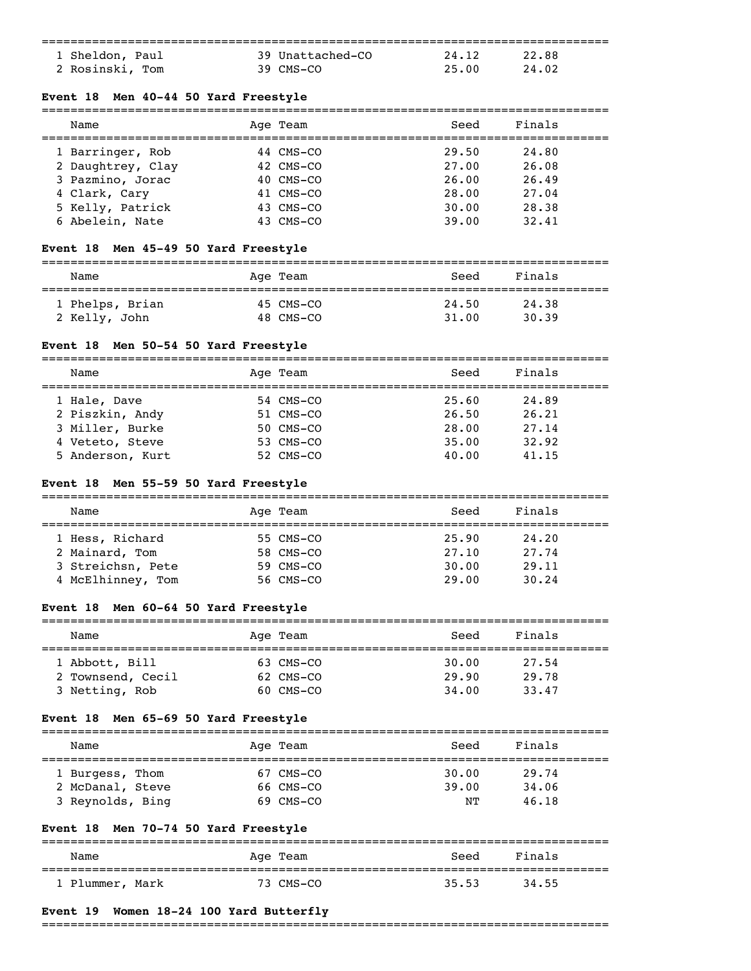| 1 Sheldon, Paul | 39 Unattached-CO | 24.12 | 22.88 |  |
|-----------------|------------------|-------|-------|--|
| 2 Rosinski, Tom | $39$ CMS-CO      | 25.00 | 24.02 |  |

#### **Event 18 Men 40-44 50 Yard Freestyle**

| Name              | Age Team  | Seed  | Finals |  |
|-------------------|-----------|-------|--------|--|
| 1 Barringer, Rob  | 44 CMS-CO | 29.50 | 24.80  |  |
| 2 Daughtrey, Clay | 42 CMS-CO | 27.00 | 26.08  |  |
| 3 Pazmino, Jorac  | 40 CMS-CO | 26.00 | 26.49  |  |
| 4 Clark, Cary     | 41 CMS-CO | 28.00 | 27.04  |  |
| 5 Kelly, Patrick  | 43 CMS-CO | 30.00 | 28.38  |  |
| 6 Abelein, Nate   | 43 CMS-CO | 39.00 | 32.41  |  |

#### **Event 18 Men 45-49 50 Yard Freestyle**

| Name            | Age Team  | Seed  | Finals |  |
|-----------------|-----------|-------|--------|--|
| 1 Phelps, Brian | 45 CMS-CO | 24.50 | 24.38  |  |
| 2 Kelly, John   | 48 CMS-CO | 31.00 | 30.39  |  |

#### **Event 18 Men 50-54 50 Yard Freestyle**

=============================================================================== Name Age Team Seed Finals =============================================================================== 1 Hale, Dave 54 CMS-CO 25.60 24.89<br>2 Piszkin, Andy 51 CMS-CO 26.50 26.21 2 Piszkin, Andy 51 CMS-CO 26.50 26.21 3 Miller, Burke 50 CMS-CO 28.00 27.14 2 Piszkin, Andy<br>
2 Piszkin, Andy<br>
3 Miller, Burke<br>
4 Veteto, Steve 53 CMS-CO 35.00 32.92<br>
4 Veteto, Steve 53 CMS-CO 35.00 32.92 5 Anderson, Kurt 52 CMS-CO 40.00 41.15

#### **Event 18 Men 55-59 50 Yard Freestyle**

| Name              | Age Team  | Seed  | Finals |  |
|-------------------|-----------|-------|--------|--|
|                   |           |       |        |  |
| 1 Hess, Richard   | 55 CMS-CO | 25.90 | 24,20  |  |
| 2 Mainard, Tom    | 58 CMS-CO | 27.10 | 27.74  |  |
| 3 Streichsn, Pete | 59 CMS-CO | 30.00 | 29.11  |  |
| 4 McElhinney, Tom | 56 CMS-CO | 29.00 | 30.24  |  |

#### **Event 18 Men 60-64 50 Yard Freestyle**

| Name                                | Age Team               | Seed           | Finals         |  |
|-------------------------------------|------------------------|----------------|----------------|--|
| 1 Abbott, Bill<br>2 Townsend, Cecil | 63 CMS-CO<br>62 CMS-CO | 30.00<br>29.90 | 27.54<br>29.78 |  |
| 3 Netting, Rob                      | 60 CMS-CO              | 34,00          | 33.47          |  |

#### **Event 18 Men 65-69 50 Yard Freestyle**

| Name             | Age Team  | Seed  | Finals |  |
|------------------|-----------|-------|--------|--|
|                  |           |       |        |  |
| 1 Burgess, Thom  | 67 CMS-CO | 30.00 | 29.74  |  |
| 2 McDanal, Steve | 66 CMS-CO | 39.00 | 34.06  |  |
| 3 Reynolds, Bing | 69 CMS-CO | NΤ    | 46.18  |  |

# **Event 18 Men 70-74 50 Yard Freestyle**

| Name            | Age Team  | Seed  | Finals |  |
|-----------------|-----------|-------|--------|--|
| 1 Plummer, Mark | 73 CMS-CO | 35.53 | 34.55  |  |

#### **Event 19 Women 18-24 100 Yard Butterfly**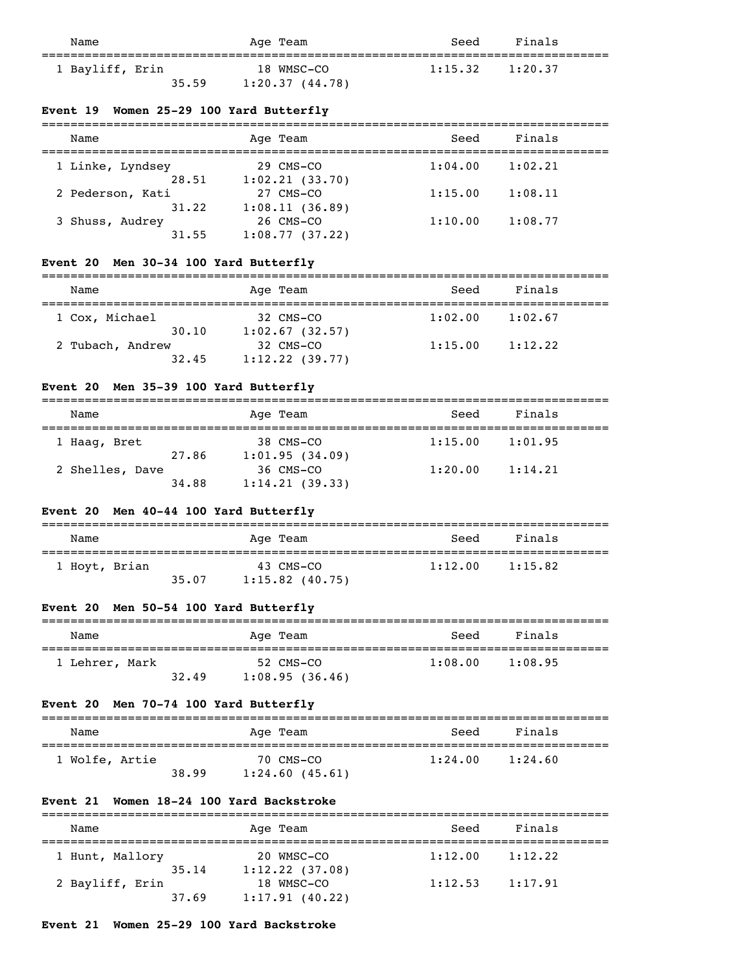| Name                     | Age Team                     | Seed                | Finals |  |
|--------------------------|------------------------------|---------------------|--------|--|
| 1 Bayliff, Erin<br>35.59 | 18 WMSC-CO<br>1:20.37(44.78) | $1:15.32$ $1:20.37$ |        |  |

# **Event 19 Women 25-29 100 Yard Butterfly**

| Name             | Age Team       | Seed    | Finals  |  |
|------------------|----------------|---------|---------|--|
| 1 Linke, Lyndsey | 29 CMS-CO      | 1:04.00 | 1:02.21 |  |
| 28.51            | 1:02.21(33.70) |         |         |  |
| 2 Pederson, Kati | 27 CMS-CO      | 1:15.00 | 1:08.11 |  |
| 31.22            | 1:08.11(36.89) |         |         |  |
| 3 Shuss, Audrey  | 26 CMS-CO      | 1:10.00 | 1:08.77 |  |
| 31.55            | 1:08.77(37.22) |         |         |  |

# **Event 20 Men 30-34 100 Yard Butterfly**

| Name             | Age Team                     | Seed    | Finals  |
|------------------|------------------------------|---------|---------|
| 1 Cox, Michael   | $32 \text{ CMS} - \text{CO}$ | 1:02.00 | 1:02.67 |
| 30.10            | 1:02.67(32.57)               |         |         |
| 2 Tubach, Andrew | 32 CMS-CO                    | 1:15.00 | 1:12.22 |
| 32.45            | 1:12.22(39.77)               |         |         |

# **Event 20 Men 35-39 100 Yard Butterfly**

| Name            |       | Age Team       | Seed    | Finals  |
|-----------------|-------|----------------|---------|---------|
| 1 Haag, Bret    |       | 38 CMS-CO      | 1:15.00 | 1:01.95 |
|                 | 27.86 | 1:01.95(34.09) |         |         |
| 2 Shelles, Dave |       | 36 CMS-CO      | 1:20.00 | 1:14.21 |
|                 | 34.88 | 1:14.21(39.33) |         |         |

#### **Event 20 Men 40-44 100 Yard Butterfly**

| Name          |       | Age Team                         | Seed    | Finals  |
|---------------|-------|----------------------------------|---------|---------|
| 1 Hoyt, Brian | 35.07 | $43$ CMS-CO<br>$1:15.82$ (40.75) | 1:12.00 | 1:15.82 |

# **Event 20 Men 50-54 100 Yard Butterfly**

| Name         |       | Age Team                    | Seed    | Finals  |  |
|--------------|-------|-----------------------------|---------|---------|--|
| Lehrer, Mark | 32.49 | 52 CMS-CO<br>1:08.95(36.46) | 1:08.00 | 1:08.95 |  |

# **Event 20 Men 70-74 100 Yard Butterfly**

| Name           |       | Age Team                    | Seed    | Finals  |
|----------------|-------|-----------------------------|---------|---------|
| 1 Wolfe, Artie | 38.99 | 70 CMS-CO<br>1:24.60(45.61) | 1:24.00 | 1:24.60 |

# **Event 21 Women 18-24 100 Yard Backstroke**

| Name            |       | Age Team                     | Seed    | Finals  |
|-----------------|-------|------------------------------|---------|---------|
| 1 Hunt, Mallory | 35.14 | 20 WMSC-CO<br>1:12.22(37.08) | 1:12.00 | 1:12.22 |
| 2 Bayliff, Erin | 37.69 | 18 WMSC-CO<br>1:17.91(40.22) | 1:12.53 | 1:17.91 |

# **Event 21 Women 25-29 100 Yard Backstroke**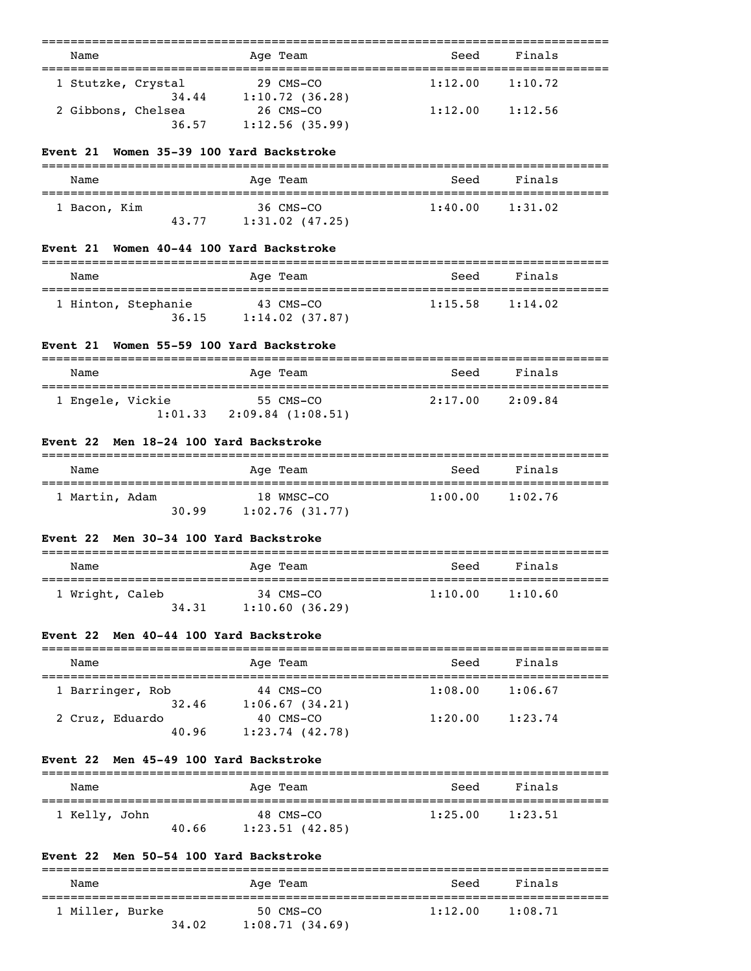| Name |                             | Age Team                      | Seed    | Finals  |  |
|------|-----------------------------|-------------------------------|---------|---------|--|
|      | 1 Stutzke, Crystal<br>34.44 | $29$ CMS-CO<br>1:10.72(36.28) | 1:12.00 | 1:10.72 |  |
|      | 2 Gibbons, Chelsea<br>36.57 | 26 CMS-CO<br>1:12.56(35.99)   | 1:12.00 | 1:12.56 |  |

#### **Event 21 Women 35-39 100 Yard Backstroke**

| Name         |       | Age Team          | Seed    | Finals  |  |
|--------------|-------|-------------------|---------|---------|--|
| 1 Bacon, Kim |       | 36 CMS-CO         | 1:40.00 | 1:31.02 |  |
|              | 43.77 | $1:31.02$ (47.25) |         |         |  |

## **Event 21 Women 40-44 100 Yard Backstroke**

| Name                         | Age Team                       | Seed    | Finals  |  |
|------------------------------|--------------------------------|---------|---------|--|
| 1 Hinton, Stephanie<br>36.15 | 43 CMS-CO<br>$1:14.02$ (37.87) | 1:15.58 | 1:14.02 |  |

#### **Event 21 Women 55-59 100 Yard Backstroke**

| Name             | Age Team          | Seed    | Finals  |  |
|------------------|-------------------|---------|---------|--|
| 1 Engele, Vickie | 55 CMS-CO         | 2:17.00 | 2:09.84 |  |
| 1:01.33          | 2:09.84 (1:08.51) |         |         |  |

# **Event 22 Men 18-24 100 Yard Backstroke**

| Name           |       | Age Team                     | Seed    | Finals  |
|----------------|-------|------------------------------|---------|---------|
| 1 Martin, Adam | 30.99 | 18 WMSC-CO<br>1:02.76(31.77) | 1:00.00 | 1:02.76 |

#### **Event 22 Men 30-34 100 Yard Backstroke**

| Name                     | Age Team                    | Seed    | Finals  |  |
|--------------------------|-----------------------------|---------|---------|--|
| 1 Wright, Caleb<br>34.31 | 34 CMS-CO<br>1:10.60(36.29) | 1:10.00 | 1:10.60 |  |

## **Event 22 Men 40-44 100 Yard Backstroke**

| Name                     | Age Team                    | Seed    | Finals  |  |
|--------------------------|-----------------------------|---------|---------|--|
| 1 Barringer, Rob         | 44 CMS-CO                   | 1:08.00 | 1:06.67 |  |
| 32.46<br>2 Cruz, Eduardo | 1:06.67(34.21)<br>40 CMS-CO | 1:20.00 | 1:23.74 |  |
| 40.96                    | $1:23.74$ (42.78)           |         |         |  |

# **Event 22 Men 45-49 100 Yard Backstroke**

| Name          |       | Age Team       | Seed    | Finals  |  |
|---------------|-------|----------------|---------|---------|--|
| 1 Kelly, John |       | 48 CMS-CO      | 1:25.00 | 1:23.51 |  |
|               | 40.66 | 1:23.51(42.85) |         |         |  |

# **Event 22 Men 50-54 100 Yard Backstroke**

| Name            |       | Age Team                    | Seed    | Finals  |
|-----------------|-------|-----------------------------|---------|---------|
| 1 Miller, Burke | 34.02 | 50 CMS-CO<br>1:08.71(34.69) | 1:12.00 | 1:08.71 |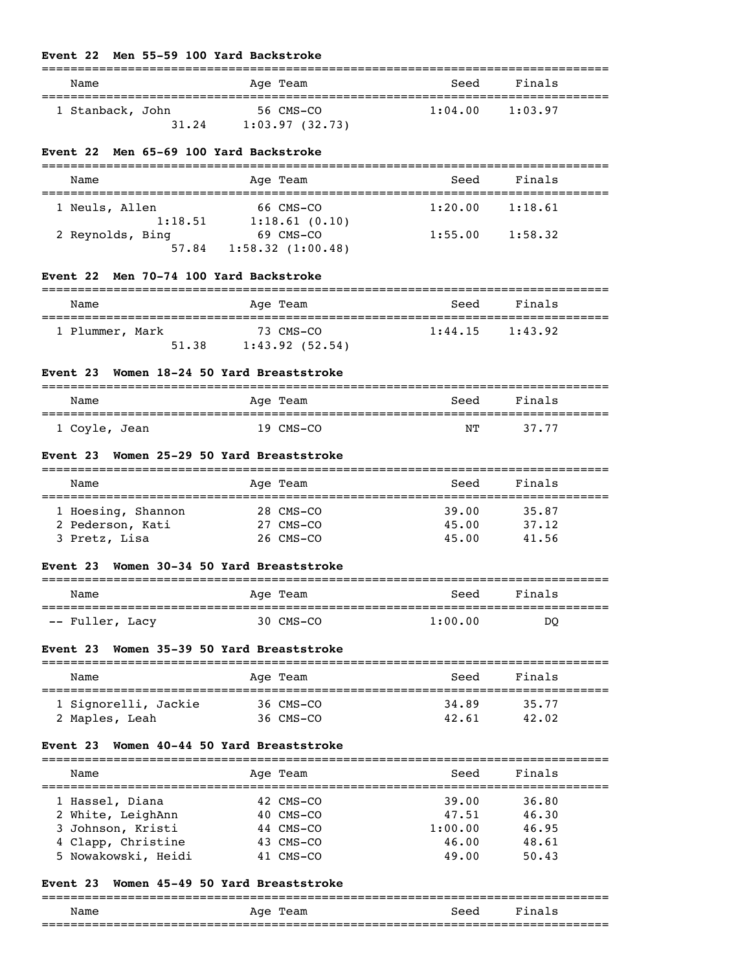#### **Event 22 Men 55-59 100 Yard Backstroke**

| Name             |       | Age Team       | Seed    | Finals  |
|------------------|-------|----------------|---------|---------|
| 1 Stanback, John |       | 56 CMS-CO      | 1:04.00 | 1:03.97 |
|                  | 31.24 | 1:03.97(32.73) |         |         |

#### **Event 22 Men 65-69 100 Yard Backstroke**

| Name                      | Age Team                      | Seed    | Finals  |  |
|---------------------------|-------------------------------|---------|---------|--|
| 1 Neuls, Allen<br>1:18.51 | 66 CMS-CO<br>1:18.61(0.10)    | 1:20.00 | 1:18.61 |  |
| 2 Reynolds, Bing<br>57.84 | 69 CMS-CO<br>1:58.32(1:00.48) | 1:55.00 | 1:58.32 |  |

# **Event 22 Men 70-74 100 Yard Backstroke**

| Name            |       | Age Team                    | Seed    | Finals  |
|-----------------|-------|-----------------------------|---------|---------|
| 1 Plummer, Mark | 51.38 | 73 CMS-CO<br>1:43.92(52.54) | 1:44.15 | 1:43.92 |

# **Event 23 Women 18-24 50 Yard Breaststroke**

| Name          | Age Team  | Seed | Finals |  |
|---------------|-----------|------|--------|--|
| 1 Coyle, Jean | 19 CMS-CO | ΝT   | 37.77  |  |

#### **Event 23 Women 25-29 50 Yard Breaststroke**

| Name               | Age Team  | Seed  | Finals |  |
|--------------------|-----------|-------|--------|--|
| 1 Hoesing, Shannon | 28 CMS-CO | 39.00 | 35.87  |  |
| 2 Pederson, Kati   | 27 CMS-CO | 45.00 | 37.12  |  |
| 3 Pretz, Lisa      | 26 CMS-CO | 45.00 | 41.56  |  |

#### **Event 23 Women 30-34 50 Yard Breaststroke**

| Name            | Age Team  | Seed    | Finals |  |
|-----------------|-----------|---------|--------|--|
| -- Fuller, Lacy | 30 CMS-CO | 1:00.00 | DO     |  |

### **Event 23 Women 35-39 50 Yard Breaststroke**

| Name                 | Age Team  | Seed  | Finals |
|----------------------|-----------|-------|--------|
| 1 Signorelli, Jackie | 36 CMS-CO | 34.89 | 35.77  |
| 2 Maples, Leah       | 36 CMS-CO | 42.61 | 42.02  |

#### **Event 23 Women 40-44 50 Yard Breaststroke**

| Finals<br>Seed   | Age Team    | Name                |  |
|------------------|-------------|---------------------|--|
| 39.00<br>36.80   | 42 CMS-CO   | 1 Hassel, Diana     |  |
| 47.51<br>46.30   | $40$ CMS-CO | 2 White, LeighAnn   |  |
| 1:00.00<br>46.95 | 44 CMS-CO   | 3 Johnson, Kristi   |  |
| 46.00<br>48.61   | 43 CMS-CO   | 4 Clapp, Christine  |  |
| 49.00<br>50.43   | 41 CMS-CO   | 5 Nowakowski, Heidi |  |
|                  |             |                     |  |

#### **Event 23 Women 45-49 50 Yard Breaststroke**

#### =============================================================================== Name Mage Team Age Team Seed Finals ===============================================================================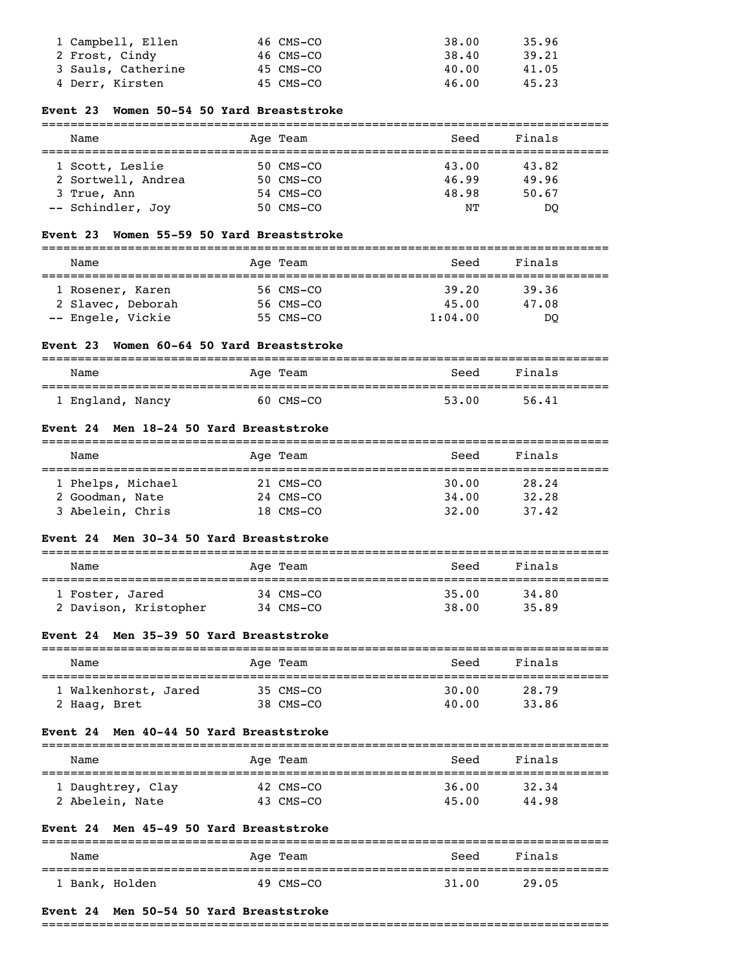| 1 Campbell, Ellen  | 46 CMS-CO | 38.00 | 35.96 |
|--------------------|-----------|-------|-------|
| 2 Frost, Cindy     | 46 CMS-CO | 38.40 | 39.21 |
| 3 Sauls, Catherine | 45 CMS-CO | 40.00 | 41.05 |
| 4 Derr, Kirsten    | 45 CMS-CO | 46.00 | 45.23 |

#### **Event 23 Women 50-54 50 Yard Breaststroke**

===============================================================================

| Name               | Age Team  | Seed  | Finals |
|--------------------|-----------|-------|--------|
| 1 Scott, Leslie    | 50 CMS-CO | 43.00 | 43.82  |
| 2 Sortwell, Andrea | 50 CMS-CO | 46.99 | 49.96  |
| 3 True, Ann        | 54 CMS-CO | 48.98 | 50.67  |
| -- Schindler, Joy  | 50 CMS-CO | NΤ    | DO     |

#### **Event 23 Women 55-59 50 Yard Breaststroke**

| Name              | Age Team  | Seed    | Finals |  |
|-------------------|-----------|---------|--------|--|
|                   |           |         |        |  |
| 1 Rosener, Karen  | 56 CMS-CO | 39.20   | 39.36  |  |
| 2 Slavec, Deborah | 56 CMS-CO | 45.00   | 47.08  |  |
| -- Engele, Vickie | 55 CMS-CO | 1:04.00 | DO     |  |

#### **Event 23 Women 60-64 50 Yard Breaststroke**

| Name           | Age Team  | Seed  | Finals |
|----------------|-----------|-------|--------|
| England, Nancy | 60 CMS-CO | 53.00 | 56.41  |

#### **Event 24 Men 18-24 50 Yard Breaststroke**

| Name              | Age Team  | Seed  | Finals |  |
|-------------------|-----------|-------|--------|--|
| 1 Phelps, Michael | 21 CMS-CO | 30.00 | 28.24  |  |
| 2 Goodman, Nate   | 24 CMS-CO | 34,00 | 32.28  |  |
| 3 Abelein, Chris  | 18 CMS-CO | 32.00 | 37.42  |  |

#### **Event 24 Men 30-34 50 Yard Breaststroke**

| Name                  | Age Team  | Seed  | Finals |  |
|-----------------------|-----------|-------|--------|--|
| 1 Foster, Jared       | 34 CMS-CO | 35.00 | 34.80  |  |
| 2 Davison, Kristopher | 34 CMS-CO | 38.00 | 35.89  |  |

## **Event 24 Men 35-39 50 Yard Breaststroke**

| Name                 | Age Team  | Seed  | Finals |
|----------------------|-----------|-------|--------|
| 1 Walkenhorst, Jared | 35 CMS-CO | 30.00 | 28.79  |
| 2 Haaq, Bret         | 38 CMS-CO | 40.00 | 33.86  |

#### **Event 24 Men 40-44 50 Yard Breaststroke**

| Name              | Age Team  | Seed  | Finals |  |
|-------------------|-----------|-------|--------|--|
| 1 Daughtrey, Clay | 42 CMS-CO | 36.00 | 32.34  |  |
| 2 Abelein, Nate   | 43 CMS-CO | 45.00 | 44.98  |  |

#### **Event 24 Men 45-49 50 Yard Breaststroke**

| Name           | Age Team    | Seed  | Finals |  |
|----------------|-------------|-------|--------|--|
| 1 Bank, Holden | $49$ CMS-CO | 31.00 | 29.05  |  |

#### **Event 24 Men 50-54 50 Yard Breaststroke**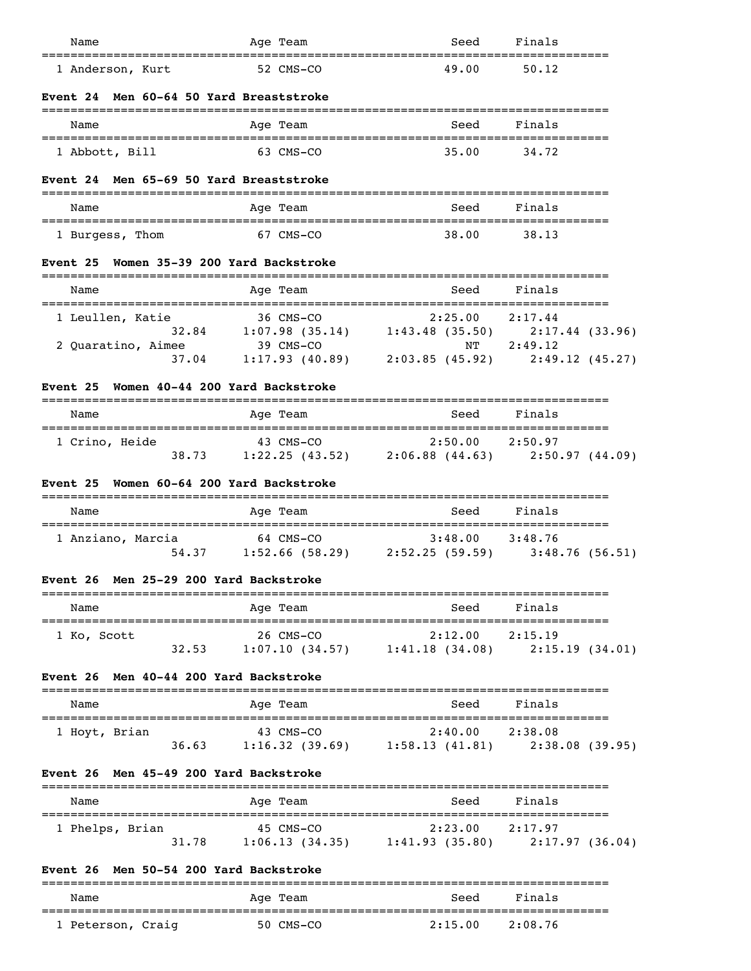| Name                                                                             | Age Team                                                                                                                    | Seed                                                                    | Finals      |  |
|----------------------------------------------------------------------------------|-----------------------------------------------------------------------------------------------------------------------------|-------------------------------------------------------------------------|-------------|--|
| 1 Anderson, Kurt                                                                 | 52 CMS-CO                                                                                                                   | 49.00                                                                   | 50.12       |  |
| <b>Event 24 Men 60-64 50 Yard Breaststroke</b>                                   |                                                                                                                             |                                                                         |             |  |
| Name                                                                             | Age Team                                                                                                                    | Seed                                                                    | Finals      |  |
| 1 Abbott, Bill                                                                   | 63 CMS-CO                                                                                                                   | 35.00                                                                   | 34.72       |  |
| Men 65-69 50 Yard Breaststroke<br><b>Event 24</b>                                |                                                                                                                             |                                                                         |             |  |
| Name                                                                             | Age Team                                                                                                                    | Seed                                                                    | Finals      |  |
| 1 Burgess, Thom                                                                  | 67 CMS-CO                                                                                                                   | 38.00                                                                   | 38.13       |  |
| Event 25 Women 35-39 200 Yard Backstroke                                         | ================                                                                                                            |                                                                         |             |  |
| Name                                                                             | Age Team                                                                                                                    | Seed                                                                    | Finals      |  |
| 1 Leullen, Katie                                                                 | 36 CMS-CO<br>32.84 1:07.98 (35.14) 1:43.48 (35.50) 2:17.44 (33.96)<br>32.84 1:07.98 (35.14) 1:43.48 (35.50) 2:17.44 (33.96) |                                                                         |             |  |
|                                                                                  |                                                                                                                             |                                                                         |             |  |
| 2 Quaratino, Aimee<br>37.04                                                      |                                                                                                                             | 39 CMS-CO NT 2:49.12<br>1:17.93 (40.89) 2:03.85 (45.92) 2:49.12 (45.27) |             |  |
|                                                                                  |                                                                                                                             |                                                                         |             |  |
| Women 40-44 200 Yard Backstroke<br><b>Event 25</b>                               |                                                                                                                             |                                                                         |             |  |
| Name                                                                             | Age Team                                                                                                                    | Seed                                                                    | Finals      |  |
| 1 Crino, Heide                                                                   | 43 CMS-CO                                                                                                                   | $2:50.00$ $2:50.97$                                                     |             |  |
|                                                                                  | $38.73$ 1:22.25 (43.52) 2:06.88 (44.63) 2:50.97 (44.09)                                                                     |                                                                         |             |  |
| Event 25 Women 60-64 200 Yard Backstroke                                         |                                                                                                                             |                                                                         |             |  |
| Name                                                                             | Age Team                                                                                                                    | Seed                                                                    | Finals      |  |
| 1 Anziano, Marcia                                                                | 64 CMS-CO<br>54.37 1:52.66 (58.29) 2:52.25 (59.59) 3:48.76 (56.51)                                                          | $3:48.00$ $3:48.76$                                                     |             |  |
| Event 26 Men 25-29 200 Yard Backstroke                                           |                                                                                                                             |                                                                         |             |  |
| Name                                                                             | Age Team                                                                                                                    | Seed                                                                    | Finals      |  |
| 1 Ko, Scott                                                                      | 26 CMS-CO                                                                                                                   | $2:12.00$ $2:15.19$                                                     |             |  |
|                                                                                  | 32.53 1:07.10 (34.57) 1:41.18 (34.08) 2:15.19 (34.01)                                                                       |                                                                         |             |  |
| Event 26 Men 40-44 200 Yard Backstroke                                           |                                                                                                                             |                                                                         |             |  |
| Name                                                                             | Age Team                                                                                                                    | Seed                                                                    | Finals      |  |
| 1 Hoyt, Brian                                                                    | 43 CMS-CO<br>36.63 1:16.32 (39.69) 1:58.13 (41.81) 2:38.08 (39.95)                                                          | $2:40.00$ $2:38.08$                                                     |             |  |
|                                                                                  |                                                                                                                             |                                                                         |             |  |
| Event 26 Men 45-49 200 Yard Backstroke                                           |                                                                                                                             |                                                                         |             |  |
| Name                                                                             | Age Team                                                                                                                    |                                                                         | Seed Finals |  |
| 1 Phelps, Brian                                                                  | 45 CMS-CO<br>31.78 1:06.13 (34.35) 1:41.93 (35.80) 2:17.97 (36.04)                                                          | 2:23.00 2:17.97                                                         |             |  |
|                                                                                  |                                                                                                                             |                                                                         |             |  |
| Event 26 Men 50-54 200 Yard Backstroke<br>====================================== |                                                                                                                             |                                                                         |             |  |
| Name                                                                             | Age Team                                                                                                                    | Seed                                                                    | Finals      |  |
| 1 Peterson, Craig                                                                | 50 CMS-CO                                                                                                                   | $2:15.00$ $2:08.76$                                                     |             |  |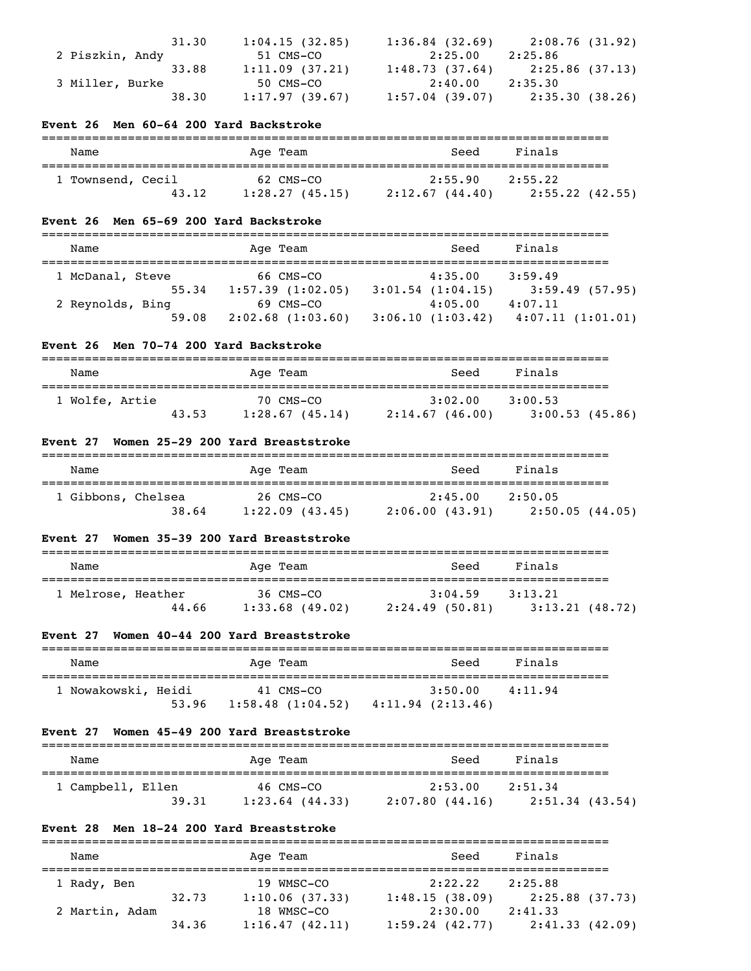|                 | 31.30 | 1:04.15(32.85) | 1:36.84(32.69)    | 2:08.76(31.92)                    |
|-----------------|-------|----------------|-------------------|-----------------------------------|
| 2 Piszkin, Andy |       | 51 CMS-CO      | 2:25.00           | 2:25.86                           |
|                 | 33.88 | 1:11.09(37.21) |                   | $1:48.73(37.64)$ $2:25.86(37.13)$ |
| 3 Miller, Burke |       | 50 CMS-CO      | 2:40.00           | 2:35.30                           |
|                 | 38.30 | 1:17.97(39.67) | $1:57.04$ (39.07) | 2:35.30 (38.26)                   |

#### **Event 26 Men 60-64 200 Yard Backstroke**

| Name              |       | Age Team                    | Seed                      | Finals                     |
|-------------------|-------|-----------------------------|---------------------------|----------------------------|
| 1 Townsend, Cecil | 43.12 | 62 CMS-CO<br>1:28.27(45.15) | 2:55.90<br>2:12.67(44.40) | 2:55.22<br>2:55.22 (42.55) |

#### **Event 26 Men 65-69 200 Yard Backstroke**

| Name             | Age Team              | Seed                  | Finals           |
|------------------|-----------------------|-----------------------|------------------|
|                  |                       |                       |                  |
| 1 McDanal, Steve | 66 CMS-CO             | 4:35.00               | 3:59.49          |
| 55.34            | $1:57.39$ $(1:02.05)$ | $3:01.54$ $(1:04.15)$ | 3:59.49(57.95)   |
| 2 Reynolds, Bing | 69 CMS-CO             | 4:05.00               | 4:07.11          |
| 59.08            | 2:02.68(1:03.60)      | 3:06.10(1:03.42)      | 4:07.11(1:01.01) |

#### **Event 26 Men 70-74 200 Yard Backstroke**

| Name           |       | Age Team                    | Seed                      | Finals                    |
|----------------|-------|-----------------------------|---------------------------|---------------------------|
| 1 Wolfe, Artie | 43.53 | 70 CMS-CO<br>1:28.67(45.14) | 3:02.00<br>2:14.67(46.00) | 3:00.53<br>3:00.53(45.86) |

# **Event 27 Women 25-29 200 Yard Breaststroke**

| Name               | Age Team            | Seed           | Finals          |
|--------------------|---------------------|----------------|-----------------|
| 1 Gibbons, Chelsea | 26 CMS-CO           | 2:45.00        | 2:50.05         |
| 38.64              | $1:22.09$ $(43.45)$ | 2:06.00(43.91) | 2:50.05 (44.05) |

#### **Event 27 Women 35-39 200 Yard Breaststroke**

| Name               |       | Age Team                       | Seed                      | Finals                    |  |
|--------------------|-------|--------------------------------|---------------------------|---------------------------|--|
| 1 Melrose, Heather | 44.66 | 36 CMS-CO<br>$1:33.68$ (49.02) | 3:04.59<br>2:24.49(50.81) | 3:13.21<br>3:13.21(48.72) |  |

# **Event 27 Women 40-44 200 Yard Breaststroke**

| Name                | Age Team         | Seed             | Finals  |
|---------------------|------------------|------------------|---------|
| 1 Nowakowski, Heidi | 41 CMS-CO        | 3:50.00          | 4:11.94 |
| 53.96               | 1:58.48(1:04.52) | 4:11.94(2:13.46) |         |

#### **Event 27 Women 45-49 200 Yard Breaststroke**

| Name              | Age Team          | Seed           | Finals          |
|-------------------|-------------------|----------------|-----------------|
| 1 Campbell, Ellen | 46 CMS-CO         | 2:53.00        | 2:51.34         |
| 39.31             | $1:23.64$ (44.33) | 2:07.80(44.16) | 2:51.34 (43.54) |

# **Event 28 Men 18-24 200 Yard Breaststroke**

| Name           |       | Age Team       | Seed           | Finals          |  |  |
|----------------|-------|----------------|----------------|-----------------|--|--|
| 1 Rady, Ben    |       | 19 WMSC-CO     | 2:22.22        | 2:25.88         |  |  |
|                | 32.73 | 1:10.06(37.33) | 1:48.15(38.09) | 2:25.88 (37.73) |  |  |
| 2 Martin, Adam |       | 18 WMSC-CO     | 2:30.00        | 2:41.33         |  |  |
|                | 34.36 | 1:16.47(42.11) | 1:59.24(42.77) | 2:41.33(42.09)  |  |  |